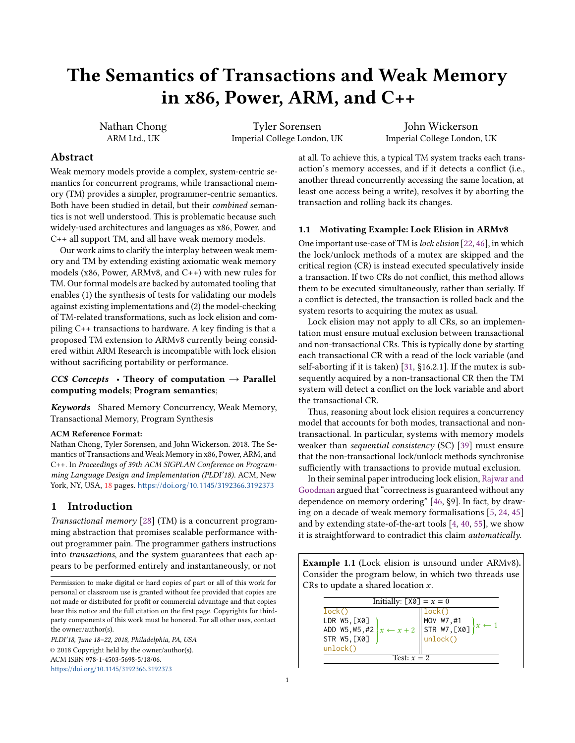# The Semantics of Transactions and Weak Memory in x86, Power, ARM, and C++

Nathan Chong ARM Ltd., UK

Tyler Sorensen Imperial College London, UK

John Wickerson Imperial College London, UK

# Abstract

Weak memory models provide a complex, system-centric semantics for concurrent programs, while transactional memory (TM) provides a simpler, programmer-centric semantics. Both have been studied in detail, but their combined semantics is not well understood. This is problematic because such widely-used architectures and languages as x86, Power, and C++ all support TM, and all have weak memory models.

Our work aims to clarify the interplay between weak memory and TM by extending existing axiomatic weak memory models (x86, Power, ARMv8, and C++) with new rules for TM. Our formal models are backed by automated tooling that enables (1) the synthesis of tests for validating our models against existing implementations and (2) the model-checking of TM-related transformations, such as lock elision and compiling C++ transactions to hardware. A key finding is that a proposed TM extension to ARMv8 currently being considered within ARM Research is incompatible with lock elision without sacrificing portability or performance.

# CCS Concepts • Theory of computation  $\rightarrow$  Parallel computing models; Program semantics;

Keywords Shared Memory Concurrency, Weak Memory, Transactional Memory, Program Synthesis

#### ACM Reference Format:

Nathan Chong, Tyler Sorensen, and John Wickerson. 2018. The Semantics of Transactions and Weak Memory in x86, Power, ARM, and C++. In Proceedings of 39th ACM SIGPLAN Conference on Programming Language Design and Implementation (PLDI'18). ACM, New York, NY, USA, [18](#page-17-0) pages. <https://doi.org/10.1145/3192366.3192373>

## 1 Introduction

Transactional memory [\[28\]](#page-14-0) (TM) is a concurrent programming abstraction that promises scalable performance without programmer pain. The programmer gathers instructions into transactions, and the system guarantees that each appears to be performed entirely and instantaneously, or not

Permission to make digital or hard copies of part or all of this work for personal or classroom use is granted without fee provided that copies are not made or distributed for profit or commercial advantage and that copies bear this notice and the full citation on the first page. Copyrights for thirdparty components of this work must be honored. For all other uses, contact the owner/author(s).

PLDI'18, June 18–22, 2018, Philadelphia, PA, USA © 2018 Copyright held by the owner/author(s). ACM ISBN 978-1-4503-5698-5/18/06. <https://doi.org/10.1145/3192366.3192373>

at all. To achieve this, a typical TM system tracks each transaction's memory accesses, and if it detects a conflict (i.e., another thread concurrently accessing the same location, at least one access being a write), resolves it by aborting the transaction and rolling back its changes.

#### <span id="page-0-1"></span>1.1 Motivating Example: Lock Elision in ARMv8

One important use-case of TM is lock elision [\[22,](#page-13-0) [46\]](#page-14-1), in which the lock/unlock methods of a mutex are skipped and the critical region (CR) is instead executed speculatively inside a transaction. If two CRs do not conflict, this method allows them to be executed simultaneously, rather than serially. If a conflict is detected, the transaction is rolled back and the system resorts to acquiring the mutex as usual.

Lock elision may not apply to all CRs, so an implementation must ensure mutual exclusion between transactional and non-transactional CRs. This is typically done by starting each transactional CR with a read of the lock variable (and self-aborting if it is taken) [\[31,](#page-14-2) §16.2.1]. If the mutex is subsequently acquired by a non-transactional CR then the TM system will detect a conflict on the lock variable and abort the transactional CR.

Thus, reasoning about lock elision requires a concurrency model that accounts for both modes, transactional and nontransactional. In particular, systems with memory models weaker than sequential consistency (SC) [\[39\]](#page-14-3) must ensure that the non-transactional lock/unlock methods synchronise sufficiently with transactions to provide mutual exclusion.

In their seminal paper introducing lock elision, [Rajwar and](#page-14-1) [Goodman](#page-14-1) argued that "correctness is guaranteed without any dependence on memory ordering" [\[46,](#page-14-1) §9]. In fact, by drawing on a decade of weak memory formalisations [\[5,](#page-13-1) [24,](#page-13-2) [45\]](#page-14-4) and by extending state-of-the-art tools [\[4,](#page-13-3) [40,](#page-14-5) [55\]](#page-14-6), we show it is straightforward to contradict this claim *automatically*.

<span id="page-0-0"></span>Example 1.1 (Lock elision is unsound under ARMv8). Consider the program below, in which two threads use CRs to update a shared location  $x$ .

| Initially: LAVE LOCK()<br>DR W5, [X0]<br>ADD W5, W5, #2 $x \leftarrow x + 2$ STR W7, [X0] $x \leftarrow 1$<br>STR W7, [X0] $\left  x \leftarrow 1$ |  |  |
|----------------------------------------------------------------------------------------------------------------------------------------------------|--|--|
|                                                                                                                                                    |  |  |
|                                                                                                                                                    |  |  |
|                                                                                                                                                    |  |  |
|                                                                                                                                                    |  |  |
| unlock()                                                                                                                                           |  |  |
| Test: $x = 2$                                                                                                                                      |  |  |
|                                                                                                                                                    |  |  |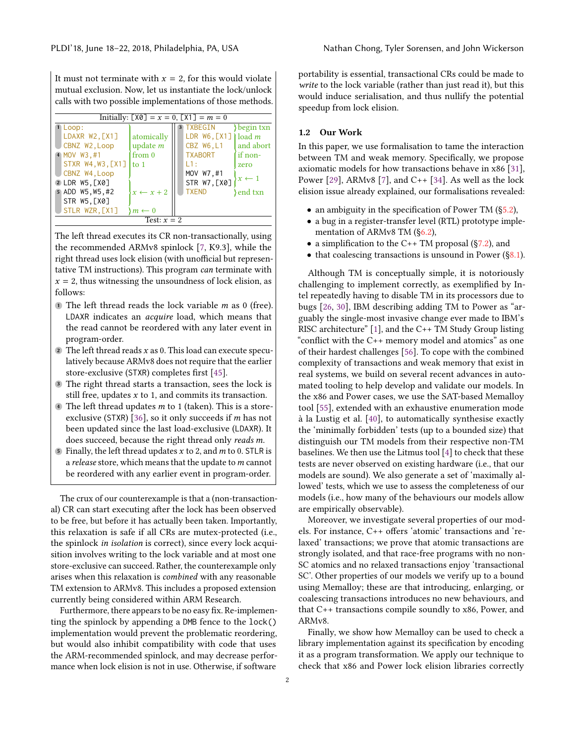It must not terminate with  $x = 2$ , for this would violate mutual exclusion. Now, let us instantiate the lock/unlock calls with two possible implementations of those methods.



The left thread executes its CR non-transactionally, using the recommended ARMv8 spinlock [\[7,](#page-13-4) K9.3], while the right thread uses lock elision (with unofficial but representative TM instructions). This program can terminate with  $x = 2$ , thus witnessing the unsoundness of lock elision, as follows:

- $\blacksquare$  The left thread reads the lock variable *m* as 0 (free). LDAXR indicates an acquire load, which means that the read cannot be reordered with any later event in program-order.
- 2 The left thread reads  $x$  as 0. This load can execute speculatively because ARMv8 does not require that the earlier store-exclusive (STXR) completes first [\[45\]](#page-14-4).
- <sup>3</sup> The right thread starts a transaction, sees the lock is still free, updates  $x$  to 1, and commits its transaction.
- $\blacklozenge$  The left thread updates *m* to 1 (taken). This is a store-exclusive (STXR) [\[36\]](#page-14-7), so it only succeeds if  $m$  has not been updated since the last load-exclusive (LDAXR). It does succeed, because the right thread only reads m.
- $\overline{\bullet}$  Finally, the left thread updates x to 2, and m to 0. STLR is a release store, which means that the update to  $m$  cannot be reordered with any earlier event in program-order.

The crux of our counterexample is that a (non-transactional) CR can start executing after the lock has been observed to be free, but before it has actually been taken. Importantly, this relaxation is safe if all CRs are mutex-protected (i.e., the spinlock in isolation is correct), since every lock acquisition involves writing to the lock variable and at most one store-exclusive can succeed. Rather, the counterexample only arises when this relaxation is combined with any reasonable TM extension to ARMv8. This includes a proposed extension currently being considered within ARM Research.

Furthermore, there appears to be no easy fix. Re-implementing the spinlock by appending a DMB fence to the lock() implementation would prevent the problematic reordering, but would also inhibit compatibility with code that uses the ARM-recommended spinlock, and may decrease performance when lock elision is not in use. Otherwise, if software

portability is essential, transactional CRs could be made to write to the lock variable (rather than just read it), but this would induce serialisation, and thus nullify the potential speedup from lock elision.

#### 1.2 Our Work

In this paper, we use formalisation to tame the interaction between TM and weak memory. Specifically, we propose axiomatic models for how transactions behave in x86 [\[31\]](#page-14-2), Power [\[29\]](#page-14-8), ARMv8 [\[7\]](#page-13-4), and C++ [\[34\]](#page-14-9). As well as the lock elision issue already explained, our formalisations revealed:

- an ambiguity in the specification of Power TM ([§5.2\)](#page-6-0),
- a bug in a register-transfer level (RTL) prototype implementation of ARMv8 TM ([§6.2\)](#page-8-0),
- a simplification to the C++ TM proposal ( $\S$ 7.2), and
- that coalescing transactions is unsound in Power ([§8.1\)](#page-10-0).

Although TM is conceptually simple, it is notoriously challenging to implement correctly, as exemplified by Intel repeatedly having to disable TM in its processors due to bugs [\[26,](#page-14-10) [30\]](#page-14-11), IBM describing adding TM to Power as "arguably the single-most invasive change ever made to IBM's RISC architecture" [\[1\]](#page-13-5), and the C++ TM Study Group listing "conflict with the C++ memory model and atomics" as one of their hardest challenges [\[56\]](#page-14-12). To cope with the combined complexity of transactions and weak memory that exist in real systems, we build on several recent advances in automated tooling to help develop and validate our models. In the x86 and Power cases, we use the SAT-based Memalloy tool [\[55\]](#page-14-6), extended with an exhaustive enumeration mode à la Lustig et al. [\[40\]](#page-14-5), to automatically synthesise exactly the 'minimally forbidden' tests (up to a bounded size) that distinguish our TM models from their respective non-TM baselines. We then use the Litmus tool [\[4\]](#page-13-3) to check that these tests are never observed on existing hardware (i.e., that our models are sound). We also generate a set of 'maximally allowed' tests, which we use to assess the completeness of our models (i.e., how many of the behaviours our models allow are empirically observable).

Moreover, we investigate several properties of our models. For instance, C++ offers 'atomic' transactions and 'relaxed' transactions; we prove that atomic transactions are strongly isolated, and that race-free programs with no non-SC atomics and no relaxed transactions enjoy 'transactional SC'. Other properties of our models we verify up to a bound using Memalloy; these are that introducing, enlarging, or coalescing transactions introduces no new behaviours, and that C++ transactions compile soundly to x86, Power, and ARMv8.

Finally, we show how Memalloy can be used to check a library implementation against its specification by encoding it as a program transformation. We apply our technique to check that x86 and Power lock elision libraries correctly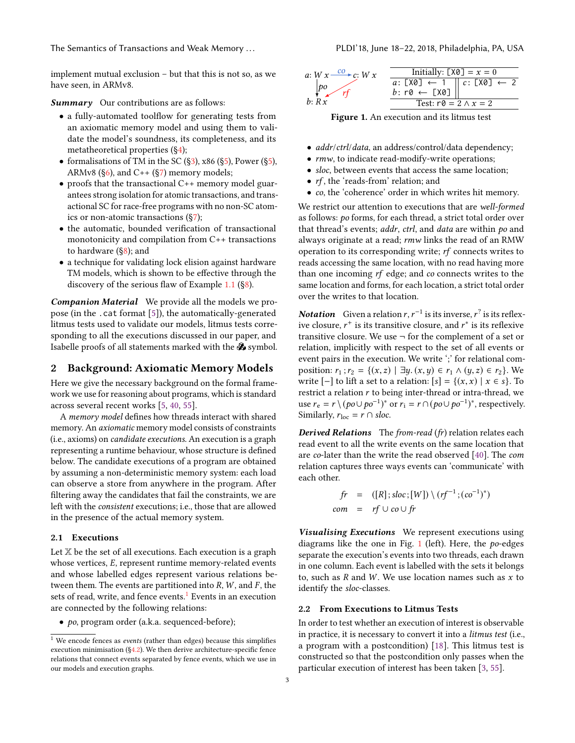The Semantics of Transactions and Weak Memory ... . . . . . . . . . . . . . . PLDI'18, June 18–22, 2018, Philadelphia, PA, USA

implement mutual exclusion – but that this is not so, as we have seen, in ARMv8.

Summary Our contributions are as follows:

- a fully-automated toolflow for generating tests from an axiomatic memory model and using them to validate the model's soundness, its completeness, and its metatheoretical properties ([§4\)](#page-4-0);
- formalisations of TM in the SC  $(\frac{1}{3})$ , x86  $(\frac{1}{5})$ , Power  $(\frac{1}{5})$ , ARMv8 ( $\S6$ ), and C++ ( $\S7$ ) memory models;
- proofs that the transactional C++ memory model guarantees strong isolation for atomic transactions, and transactional SC for race-free programs with no non-SC atomics or non-atomic transactions ([§7\)](#page-9-1);
- the automatic, bounded verification of transactional monotonicity and compilation from C++ transactions to hardware ([§8\)](#page-10-1); and
- a technique for validating lock elision against hardware TM models, which is shown to be effective through the discovery of the serious flaw of Example [1.1](#page-0-0) ([§8\)](#page-10-1).

Companion Material We provide all the models we propose (in the .cat format [\[5\]](#page-13-1)), the automatically-generated litmus tests used to validate our models, litmus tests corresponding to all the executions discussed in our paper, and Isabelle proofs of all statements marked with the  $\mathcal S$  symbol.

# 2 Background: Axiomatic Memory Models

Here we give the necessary background on the formal framework we use for reasoning about programs, which is standard across several recent works [\[5,](#page-13-1) [40,](#page-14-5) [55\]](#page-14-6).

A memory model defines how threads interact with shared memory. An axiomatic memory model consists of constraints (i.e., axioms) on candidate executions. An execution is a graph representing a runtime behaviour, whose structure is defined below. The candidate executions of a program are obtained by assuming a non-deterministic memory system: each load can observe a store from anywhere in the program. After filtering away the candidates that fail the constraints, we are left with the consistent executions; i.e., those that are allowed in the presence of the actual memory system.

#### 2.1 Executions

Let  $X$  be the set of all executions. Each execution is a graph whose vertices, E, represent runtime memory-related events and whose labelled edges represent various relations between them. The events are partitioned into  $R$ ,  $W$ , and  $F$ , the sets of read, write, and fence events.<sup>[1](#page-2-0)</sup> Events in an execution are connected by the following relations:

• po, program order (a.k.a. sequenced-before);

<span id="page-2-1"></span>

Figure 1. An execution and its litmus test

- *addr/ctrl/data*, an address/control/data dependency;
- $rmw$ , to indicate read-modify-write operations;
- sloc, between events that access the same location;
- *rf*, the 'reads-from' relation; and
- co, the 'coherence' order in which writes hit memory.

We restrict our attention to executions that are well-formed as follows: po forms, for each thread, a strict total order over that thread's events; addr, ctrl, and data are within po and always originate at a read; rmw links the read of an RMW operation to its corresponding write; rf connects writes to reads accessing the same location, with no read having more than one incoming rf edge; and co connects writes to the same location and forms, for each location, a strict total order over the writes to that location.

**Notation** Given a relation  $r, r^{-1}$  is its inverse,  $r^2$  is its reflex-<br>ive closure  $r^+$  is its transitive closure, and  $r^*$  is its reflexive ive closure,  $r^+$  is its transitive closure, and  $r^*$  is its reflexive<br>transitive closure, We use  $\frac{1}{r}$  for the complement of a set or transitive closure. We use  $\neg$  for the complement of a set or relation, implicitly with respect to the set of all events or event pairs in the execution. We write ';' for relational composition:  $r_1$ ;  $r_2 = \{(x, z) | \exists y \ldotp (x, y) \in r_1 \land (y, z) \in r_2\}$ . We write  $[-]$  to lift a set to a relation:  $[s] = \{(x, x) | x \in s\}$ . To restrict a relation  $r$  to being inter-thread or intra-thread, we use  $r_e = r \setminus (p o \cup p o^{-1})^*$  or  $r_i = r \cap (p o \cup p o^{-1})^*$ , respectively. Similarly,  $r_{loc} = r \cap$  sloc.

Derived Relations The from-read (fr) relation relates each read event to all the write events on the same location that are co-later than the write the read observed [\[40\]](#page-14-5). The com relation captures three ways events can 'communicate' with each other.

$$
fr = ([R]; sloc; [W]) \setminus (rf^{-1}; (co^{-1})^*)
$$
  
com = rf  $\cup$  co  $\cup$  fr

Visualising Executions We represent executions using diagrams like the one in Fig. [1](#page-2-1) (left). Here, the po-edges separate the execution's events into two threads, each drawn in one column. Each event is labelled with the sets it belongs to, such as  $R$  and  $W$ . We use location names such as  $x$  to identify the sloc-classes.

#### <span id="page-2-2"></span>2.2 From Executions to Litmus Tests

In order to test whether an execution of interest is observable in practice, it is necessary to convert it into a litmus test (i.e., a program with a postcondition) [\[18\]](#page-13-6). This litmus test is constructed so that the postcondition only passes when the particular execution of interest has been taken [\[3,](#page-13-7) [55\]](#page-14-6).

<span id="page-2-0"></span> $^{\rm 1}$  We encode fences as *events* (rather than edges) because this simplifies execution minimisation ([§4.2\)](#page-4-1). We then derive architecture-specific fence relations that connect events separated by fence events, which we use in our models and execution graphs.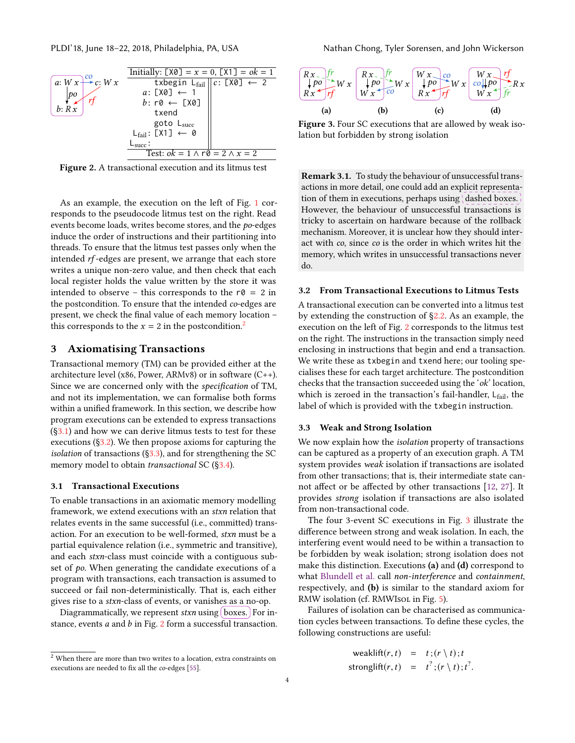<span id="page-3-5"></span>

Figure 2. A transactional execution and its litmus test

As an example, the execution on the left of Fig. [1](#page-2-1) corresponds to the pseudocode litmus test on the right. Read events become loads, writes become stores, and the po-edges induce the order of instructions and their partitioning into threads. To ensure that the litmus test passes only when the intended rf -edges are present, we arrange that each store writes a unique non-zero value, and then check that each local register holds the value written by the store it was intended to observe – this corresponds to the  $r\theta = 2$  in the postcondition. To ensure that the intended co-edges are present, we check the final value of each memory location – this corresponds to the  $x = 2$  $x = 2$  in the postcondition.<sup>2</sup>

#### <span id="page-3-0"></span>3 Axiomatising Transactions

Transactional memory (TM) can be provided either at the architecture level (x86, Power, ARMv8) or in software (C++). Since we are concerned only with the specification of TM, and not its implementation, we can formalise both forms within a unified framework. In this section, we describe how program executions can be extended to express transactions  $(\S3.1)$  and how we can derive litmus tests to test for these executions ([§3.2\)](#page-3-3). We then propose axioms for capturing the isolation of transactions ( $\S$ 3.3), and for strengthening the SC memory model to obtain *transactional* SC ([§3.4\)](#page-4-2).

#### <span id="page-3-2"></span>3.1 Transactional Executions

To enable transactions in an axiomatic memory modelling framework, we extend executions with an stxn relation that relates events in the same successful (i.e., committed) transaction. For an execution to be well-formed, stxn must be a partial equivalence relation (i.e., symmetric and transitive), and each stxn-class must coincide with a contiguous subset of po. When generating the candidate executions of a program with transactions, each transaction is assumed to succeed or fail non-deterministically. That is, each either gives rise to a stxn-class of events, or vanishes as a no-op.

Diagrammatically, we represent  $stxn$  using [boxes.] For instance, events a and b in Fig. [2](#page-3-5) form a successful transaction.

<span id="page-3-6"></span>

Figure 3. Four SC executions that are allowed by weak isolation but forbidden by strong isolation

Remark 3.1. To study the behaviour of unsuccessful transactions in more detail, one could add an explicit representation of them in executions, perhaps using dashed boxes. However, the behaviour of unsuccessful transactions is tricky to ascertain on hardware because of the rollback mechanism. Moreover, it is unclear how they should interact with co, since co is the order in which writes hit the memory, which writes in unsuccessful transactions never do.

## <span id="page-3-3"></span>3.2 From Transactional Executions to Litmus Tests

A transactional execution can be converted into a litmus test by extending the construction of [§2.2.](#page-2-2) As an example, the execution on the left of Fig. [2](#page-3-5) corresponds to the litmus test on the right. The instructions in the transaction simply need enclosing in instructions that begin and end a transaction. We write these as txbegin and txend here; our tooling specialises these for each target architecture. The postcondition checks that the transaction succeeded using the 'ok' location, which is zeroed in the transaction's fail-handler,  $L_{fail}$ , the label of which is provided with the txbegin instruction.

#### <span id="page-3-4"></span>3.3 Weak and Strong Isolation

We now explain how the isolation property of transactions can be captured as a property of an execution graph. A TM system provides weak isolation if transactions are isolated from other transactions; that is, their intermediate state cannot affect or be affected by other transactions [\[12,](#page-13-8) [27\]](#page-14-13). It provides strong isolation if transactions are also isolated from non-transactional code.

The four 3-event SC executions in Fig. [3](#page-3-6) illustrate the difference between strong and weak isolation. In each, the interfering event would need to be within a transaction to be forbidden by weak isolation; strong isolation does not make this distinction. Executions (a) and (d) correspond to what [Blundell et al.](#page-13-8) call non-interference and containment, respectively, and (b) is similar to the standard axiom for RMW isolation (cf. RMWIsoL in Fig. [5\)](#page-5-1).

Failures of isolation can be characterised as communication cycles between transactions. To define these cycles, the following constructions are useful:

weaklift(r, t) = 
$$
t
$$
;  $(r \setminus t)$ ; t  
stronglift(r, t) =  $t^2$ ;  $(r \setminus t)$ ;  $t^2$ .

<span id="page-3-1"></span> $^{\rm 2}$  When there are more than two writes to a location, extra constraints on executions are needed to fix all the co-edges [\[55\]](#page-14-6).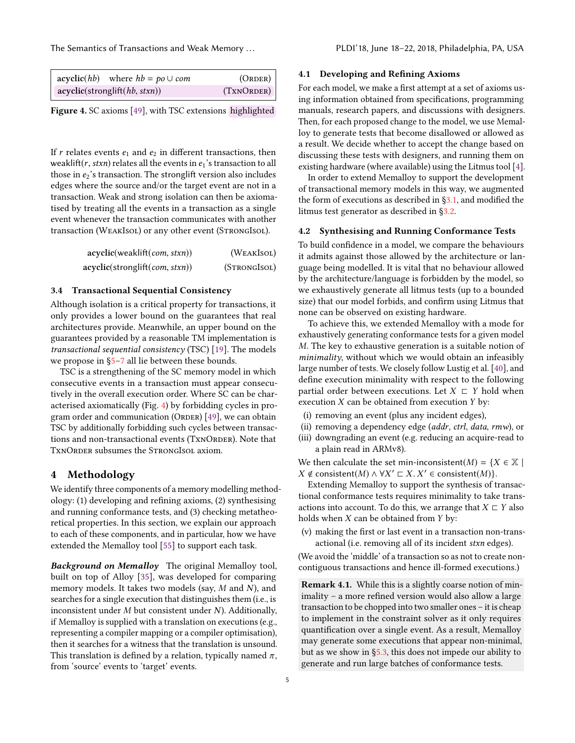The Semantics of Transactions and Weak Memory . . . PLDI'18, June 18–22, 2018, Philadelphia, PA, USA

<span id="page-4-3"></span>

| $\operatorname{acyclic}(hb)$ where $hb = po \cup com$ | (ORDER)    |
|-------------------------------------------------------|------------|
| acyclic(strong lift(hb, stxn))                        | (TXNORDER) |

Figure 4. SC axioms [\[49\]](#page-14-14), with TSC extensions highlighted

If  $r$  relates events  $e_1$  and  $e_2$  in different transactions, then weaklift(r, stxn) relates all the events in  $e_1$ 's transaction to all those in  $e_2$ 's transaction. The stronglift version also includes edges where the source and/or the target event are not in a transaction. Weak and strong isolation can then be axiomatised by treating all the events in a transaction as a single event whenever the transaction communicates with another transaction (WEAKISOL) or any other event (STRONGISOL).

| acyclic(weak lift (com, stxn)) | (WEAKISOL)   |
|--------------------------------|--------------|
| acyclic(stronglift(com, stxn)) | (STRONGISOL) |

#### <span id="page-4-2"></span>3.4 Transactional Sequential Consistency

Although isolation is a critical property for transactions, it only provides a lower bound on the guarantees that real architectures provide. Meanwhile, an upper bound on the guarantees provided by a reasonable TM implementation is transactional sequential consistency (TSC) [\[19\]](#page-13-9). The models we propose in [§5](#page-5-0)[–7](#page-9-1) all lie between these bounds.

TSC is a strengthening of the SC memory model in which consecutive events in a transaction must appear consecutively in the overall execution order. Where SC can be characterised axiomatically (Fig. [4\)](#page-4-3) by forbidding cycles in pro-gram order and communication (ORDER) [\[49\]](#page-14-14), we can obtain TSC by additionally forbidding such cycles between transactions and non-transactional events (TxNORDER). Note that TXNORDER subsumes the STRONGISOL axiom.

## <span id="page-4-0"></span>4 Methodology

We identify three components of a memory modelling methodology: (1) developing and refining axioms, (2) synthesising and running conformance tests, and (3) checking metatheoretical properties. In this section, we explain our approach to each of these components, and in particular, how we have extended the Memalloy tool [\[55\]](#page-14-6) to support each task.

**Background on Memalloy** The original Memalloy tool, built on top of Alloy [\[35\]](#page-14-15), was developed for comparing memory models. It takes two models (say, M and N), and searches for a single execution that distinguishes them (i.e., is inconsistent under  $M$  but consistent under  $N$ ). Additionally, if Memalloy is supplied with a translation on executions (e.g., representing a compiler mapping or a compiler optimisation), then it searches for a witness that the translation is unsound. This translation is defined by a relation, typically named  $\pi$ , from 'source' events to 'target' events.

#### 4.1 Developing and Refining Axioms

For each model, we make a first attempt at a set of axioms using information obtained from specifications, programming manuals, research papers, and discussions with designers. Then, for each proposed change to the model, we use Memalloy to generate tests that become disallowed or allowed as a result. We decide whether to accept the change based on discussing these tests with designers, and running them on existing hardware (where available) using the Litmus tool [\[4\]](#page-13-3).

In order to extend Memalloy to support the development of transactional memory models in this way, we augmented the form of executions as described in  $\S$ 3.1, and modified the litmus test generator as described in [§3.2.](#page-3-3)

#### <span id="page-4-1"></span>4.2 Synthesising and Running Conformance Tests

To build confidence in a model, we compare the behaviours it admits against those allowed by the architecture or language being modelled. It is vital that no behaviour allowed by the architecture/language is forbidden by the model, so we exhaustively generate all litmus tests (up to a bounded size) that our model forbids, and confirm using Litmus that none can be observed on existing hardware.

To achieve this, we extended Memalloy with a mode for exhaustively generating conformance tests for a given model M. The key to exhaustive generation is a suitable notion of minimality, without which we would obtain an infeasibly large number of tests. We closely follow Lustig et al. [\[40\]](#page-14-5), and define execution minimality with respect to the following partial order between executions. Let  $X \nightharpoonup Y$  hold when execution  $X$  can be obtained from execution  $Y$  by:

- (i) removing an event (plus any incident edges),
- (ii) removing a dependency edge (addr, ctrl, data, rmw), or
- (iii) downgrading an event (e.g. reducing an acquire-read to a plain read in ARMv8).

We then calculate the set min-inconsistent(M) = { $X \in \mathbb{X}$  |  $X \notin \text{consistent}(M) \land \forall X' \subset X$ .  $X' \in \text{consistent}(M)$ }.<br>
Extending Memalloy to support the synthesis of t

Extending Memalloy to support the synthesis of transactional conformance tests requires minimality to take transactions into account. To do this, we arrange that  $X \nightharpoonup Y$  also holds when  $X$  can be obtained from  $Y$  by:

(v) making the first or last event in a transaction non-transactional (i.e. removing all of its incident stxn edges).

(We avoid the 'middle' of a transaction so as not to create noncontiguous transactions and hence ill-formed executions.)

Remark 4.1. While this is a slightly coarse notion of minimality – a more refined version would also allow a large transaction to be chopped into two smaller ones – it is cheap to implement in the constraint solver as it only requires quantification over a single event. As a result, Memalloy may generate some executions that appear non-minimal, but as we show in [§5.3,](#page-7-0) this does not impede our ability to generate and run large batches of conformance tests.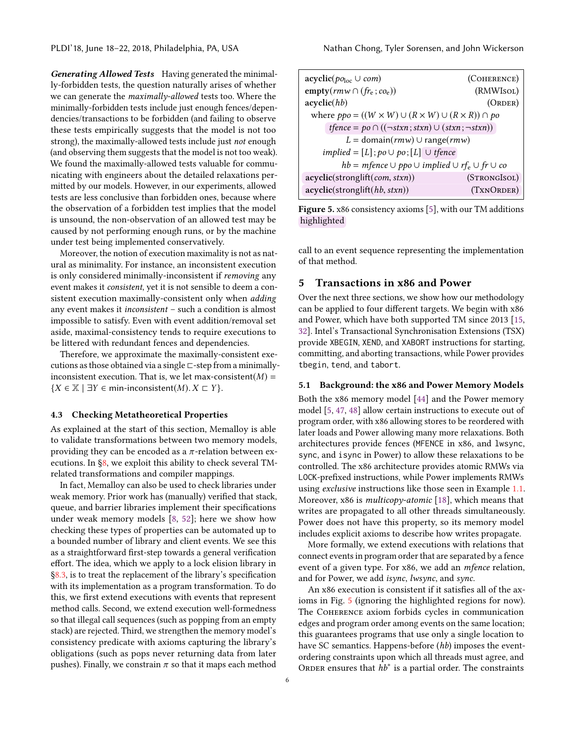Generating Allowed Tests Having generated the minimally-forbidden tests, the question naturally arises of whether we can generate the maximally-allowed tests too. Where the minimally-forbidden tests include just enough fences/dependencies/transactions to be forbidden (and failing to observe these tests empirically suggests that the model is not too strong), the maximally-allowed tests include just not enough (and observing them suggests that the model is not too weak). We found the maximally-allowed tests valuable for communicating with engineers about the detailed relaxations permitted by our models. However, in our experiments, allowed tests are less conclusive than forbidden ones, because where the observation of a forbidden test implies that the model is unsound, the non-observation of an allowed test may be caused by not performing enough runs, or by the machine under test being implemented conservatively.

Moreover, the notion of execution maximality is not as natural as minimality. For instance, an inconsistent execution is only considered minimally-inconsistent if removing any event makes it consistent, yet it is not sensible to deem a consistent execution maximally-consistent only when adding any event makes it inconsistent – such a condition is almost impossible to satisfy. Even with event addition/removal set aside, maximal-consistency tends to require executions to be littered with redundant fences and dependencies.

Therefore, we approximate the maximally-consistent executions as those obtained via a single ⊏-step from a minimallyinconsistent execution. That is, we let max-consistent( $M$ ) =  ${X \in \mathbb{X} \mid \exists Y \in \text{min-inconsistent}(M) \colon X \sqsubset Y}.$ 

#### <span id="page-5-2"></span>4.3 Checking Metatheoretical Properties

As explained at the start of this section, Memalloy is able to validate transformations between two memory models, providing they can be encoded as a  $\pi$ -relation between executions. In [§8,](#page-10-1) we exploit this ability to check several TMrelated transformations and compiler mappings.

In fact, Memalloy can also be used to check libraries under weak memory. Prior work has (manually) verified that stack, queue, and barrier libraries implement their specifications under weak memory models [\[8,](#page-13-10) [52\]](#page-14-16); here we show how checking these types of properties can be automated up to a bounded number of library and client events. We see this as a straightforward first-step towards a general verification effort. The idea, which we apply to a lock elision library in [§8.3,](#page-11-0) is to treat the replacement of the library's specification with its implementation as a program transformation. To do this, we first extend executions with events that represent method calls. Second, we extend execution well-formedness so that illegal call sequences (such as popping from an empty stack) are rejected. Third, we strengthen the memory model's consistency predicate with axioms capturing the library's obligations (such as pops never returning data from later pushes). Finally, we constrain  $\pi$  so that it maps each method

<span id="page-5-1"></span>

| $\text{acyclic}(p_{\theta_{\text{loc}}}\cup com)$                             | (COHERENCE)  |  |  |  |
|-------------------------------------------------------------------------------|--------------|--|--|--|
| empty( $\mathit{rmw} \cap (f_{r_e}; c o_e)$ )                                 | (RMWIsoL)    |  |  |  |
| acyclic(hb)                                                                   | (ORDER)      |  |  |  |
| where $ppo = ((W \times W) \cup (R \times W) \cup (R \times R)) \cap po$      |              |  |  |  |
| $t \text{fence} = p \circ \bigcap ((\neg stxn; stxn) \cup (stxn; \neg stxn))$ |              |  |  |  |
| $L = \text{domain}(rm) \cup \text{range}(rm)$                                 |              |  |  |  |
| $implied = [L]$ ; $po \cup po$ ; $[L] \cup$ tfence                            |              |  |  |  |
| $hb = mfence \cup ppo \cup implied \cup rf_e \cup fr \cup co$                 |              |  |  |  |
| acyclic(strong lift (com, stxn))                                              | (STRONGISOL) |  |  |  |
| acyclic(stronglift(hb, stxn))                                                 | (TXNORDER)   |  |  |  |

Figure 5. x86 consistency axioms [\[5\]](#page-13-1), with our TM additions highlighted

call to an event sequence representing the implementation of that method.

## <span id="page-5-0"></span>5 Transactions in x86 and Power

Over the next three sections, we show how our methodology can be applied to four different targets. We begin with x86 and Power, which have both supported TM since 2013 [\[15,](#page-13-11) [32\]](#page-14-17). Intel's Transactional Synchronisation Extensions (TSX) provide XBEGIN, XEND, and XABORT instructions for starting, committing, and aborting transactions, while Power provides tbegin, tend, and tabort.

#### 5.1 Background: the x86 and Power Memory Models

Both the x86 memory model [\[44\]](#page-14-18) and the Power memory model [\[5,](#page-13-1) [47,](#page-14-19) [48\]](#page-14-20) allow certain instructions to execute out of program order, with x86 allowing stores to be reordered with later loads and Power allowing many more relaxations. Both architectures provide fences (MFENCE in x86, and lwsync, sync, and isync in Power) to allow these relaxations to be controlled. The x86 architecture provides atomic RMWs via LOCK-prefixed instructions, while Power implements RMWs using *exclusive* instructions like those seen in Example [1.1.](#page-0-0) Moreover, x86 is *multicopy-atomic* [\[18\]](#page-13-6), which means that writes are propagated to all other threads simultaneously. Power does not have this property, so its memory model includes explicit axioms to describe how writes propagate.

More formally, we extend executions with relations that connect events in program order that are separated by a fence event of a given type. For x86, we add an mfence relation, and for Power, we add isync, lwsync, and sync.

An x86 execution is consistent if it satisfies all of the axioms in Fig. [5](#page-5-1) (ignoring the highlighted regions for now). The Coherence axiom forbids cycles in communication edges and program order among events on the same location; this guarantees programs that use only a single location to have SC semantics. Happens-before (hb) imposes the eventordering constraints upon which all threads must agree, and ORDER ensures that  $\overrightarrow{h}b^*$  is a partial order. The constraints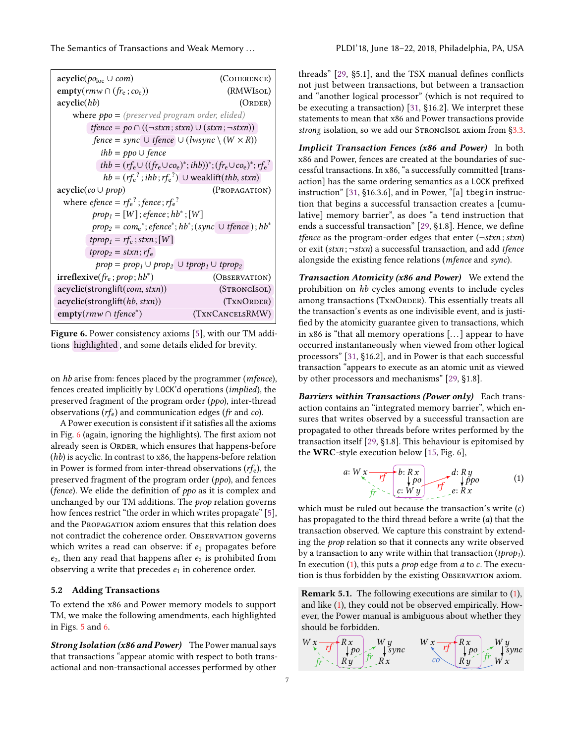The Semantics of Transactions and Weak Memory ... . . . . . . . . . . . . . . PLDI'18, June 18–22, 2018, Philadelphia, PA, USA

<span id="page-6-1"></span>

| $\operatorname{acyclic}(p_{\mathcal{O}_{loc}} \cup com)$                                               | (COHERENCE)  |  |  |  |
|--------------------------------------------------------------------------------------------------------|--------------|--|--|--|
| empty( $\mathit{rmw} \cap (f_{r_e}; c_{o_e})$ )<br>(RMWIsoL)                                           |              |  |  |  |
| acyclic(hb)                                                                                            | (ORDER)      |  |  |  |
| where $ppo = (presented program order, elided)$                                                        |              |  |  |  |
| $t \text{fence} = p \circ \cap ((\neg \text{stxn}; \text{stxn}) \cup (\text{stxn}; \neg \text{stxn}))$ |              |  |  |  |
| fence = sync $\cup$ tfence $\cup$ (lwsync $\setminus$ $(W \times R)$ )                                 |              |  |  |  |
| $ihb = ppo \cup fence$                                                                                 |              |  |  |  |
| thb = $(r f_e \cup ((f r_e \cup c o_e)^*; i h b))^*$ ; $(f r_e \cup c o_e)^*$ ; $r f_e^2$              |              |  |  |  |
| $hb = (rf_e^2; ihb; rf_e^2)$ $\cup$ weaklift( <i>thb</i> , <i>stxn</i> )                               |              |  |  |  |
| $acyclic(co \cup prop)$<br>(Propagation)                                                               |              |  |  |  |
| where <i>efence</i> = $rf_e^2$ ; <i>fence</i> ; $rf_e^2$                                               |              |  |  |  |
| $prop_1 = [W]$ ; efence; $hb^*$ ; $[W]$                                                                |              |  |  |  |
| $prop_2 = com_e^*; e fence^*; hb^*; (sync \cup f fence); hb^*$                                         |              |  |  |  |
| $tprop_1 = rf_e$ ; stxn; $[W]$                                                                         |              |  |  |  |
| $tprop_2 = stxn; rf_e$                                                                                 |              |  |  |  |
| $prop = prop_1 \cup prop_2 \cup trop_1 \cup trop_2$                                                    |              |  |  |  |
| $irreflexive(f_r, prop; hb^*)$<br>(OBSERVATION)                                                        |              |  |  |  |
| acyclic(stronglift(com, stxn))                                                                         | (STRONGISOL) |  |  |  |
| acyclic(strong lift(hb, stxn))<br>(TXNORDER)                                                           |              |  |  |  |
| $\text{empty}(r m w \cap \text{tfence}^*)$<br>(TXNCANCELSRMW)                                          |              |  |  |  |

Figure 6. Power consistency axioms [\[5\]](#page-13-1), with our TM additions highlighted , and some details elided for brevity.

on hb arise from: fences placed by the programmer (mfence), fences created implicitly by LOCK'd operations (implied), the preserved fragment of the program order (ppo), inter-thread observations  $(r f_e)$  and communication edges (fr and co).

A Power execution is consistent if it satisfies all the axioms in Fig. [6](#page-6-1) (again, ignoring the highlights). The first axiom not already seen is ORDER, which ensures that happens-before (hb) is acyclic. In contrast to x86, the happens-before relation in Power is formed from inter-thread observations  $(r f_e)$ , the preserved fragment of the program order (ppo), and fences (fence). We elide the definition of ppo as it is complex and unchanged by our TM additions. The prop relation governs how fences restrict "the order in which writes propagate" [\[5\]](#page-13-1), and the Propagation axiom ensures that this relation does not contradict the coherence order. Observation governs which writes a read can observe: if  $e_1$  propagates before  $e_2$ , then any read that happens after  $e_2$  is prohibited from observing a write that precedes  $e_1$  in coherence order.

# <span id="page-6-0"></span>5.2 Adding Transactions

To extend the x86 and Power memory models to support TM, we make the following amendments, each highlighted in Figs. [5](#page-5-1) and [6.](#page-6-1)

Strong Isolation (x86 and Power) The Power manual says that transactions "appear atomic with respect to both transactional and non-transactional accesses performed by other

threads" [\[29,](#page-14-8) §5.1], and the TSX manual defines conflicts not just between transactions, but between a transaction and "another logical processor" (which is not required to be executing a transaction) [\[31,](#page-14-2) §16.2]. We interpret these statements to mean that x86 and Power transactions provide strong isolation, so we add our STRONGISOL axiom from [§3.3.](#page-3-4)

Implicit Transaction Fences (x86 and Power) In both x86 and Power, fences are created at the boundaries of successful transactions. In x86, "a successfully committed [transaction] has the same ordering semantics as a LOCK prefixed instruction" [\[31,](#page-14-2) §16.3.6], and in Power, "[a] tbegin instruction that begins a successful transaction creates a [cumulative] memory barrier", as does "a tend instruction that ends a successful transaction" [\[29,](#page-14-8) §1.8]. Hence, we define *tfence* as the program-order edges that enter  $(\neg$ *stxn*; *stxn*) or exit (stxn;  $\neg$ stxn) a successful transaction, and add tfence alongside the existing fence relations (mfence and sync).

Transaction Atomicity (x86 and Power) We extend the prohibition on hb cycles among events to include cycles among transactions (TXNORDER). This essentially treats all the transaction's events as one indivisible event, and is justified by the atomicity guarantee given to transactions, which in x86 is "that all memory operations [. . . ] appear to have occurred instantaneously when viewed from other logical processors" [\[31,](#page-14-2) §16.2], and in Power is that each successful transaction "appears to execute as an atomic unit as viewed by other processors and mechanisms" [\[29,](#page-14-8) §1.8].

Barriers within Transactions (Power only) Each transaction contains an "integrated memory barrier", which ensures that writes observed by a successful transaction are propagated to other threads before writes performed by the transaction itself [\[29,](#page-14-8) §1.8]. This behaviour is epitomised by the WRC-style execution below [\[15,](#page-13-11) Fig. 6],

<span id="page-6-2"></span>a: 
$$
W \times \overline{r}
$$
 b:  $R \times \overline{r}$   
\nf \rightarrow c:  $W \times \overline{r}$  e:  $R \times \overline{r}$   
\ne:  $R \times \overline{r}$ 

which must be ruled out because the transaction's write  $(c)$ has propagated to the third thread before a write (a) that the transaction observed. We capture this constraint by extending the prop relation so that it connects any write observed by a transaction to any write within that transaction  $(tprop<sub>1</sub>)$ . In execution  $(1)$ , this puts a *prop* edge from *a* to *c*. The execution is thus forbidden by the existing OBSERVATION axiom.

Remark 5.1. The following executions are similar to [\(1\)](#page-6-2), and like [\(1\)](#page-6-2), they could not be observed empirically. However, the Power manual is ambiguous about whether they should be forbidden.

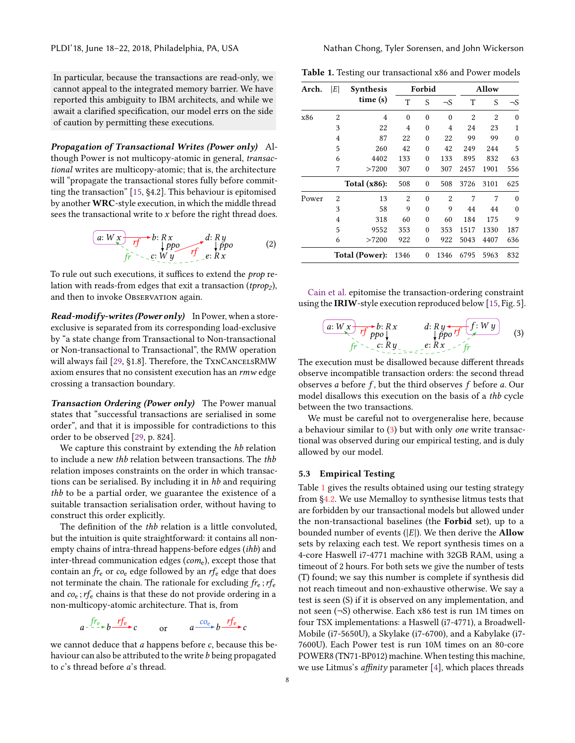In particular, because the transactions are read-only, we cannot appeal to the integrated memory barrier. We have reported this ambiguity to IBM architects, and while we await a clarified specification, our model errs on the side of caution by permitting these executions.

Propagation of Transactional Writes (Power only) Although Power is not multicopy-atomic in general, transactional writes are multicopy-atomic; that is, the architecture will "propagate the transactional stores fully before committing the transaction" [\[15,](#page-13-11) §4.2]. This behaviour is epitomised by another WRC-style execution, in which the middle thread sees the transactional write to x before the right thread does.

$$
\underbrace{(a: W \times f \times f \times f \times R \times f \times R \times f \times R \times f \times R \times f \times R \times f \times R \times f \times R \times f \times R \times f \times R \times f \times R \times f \times R \times f \times R \times f \times R \times f \times R \times f \times R \times f \times R \times f \times R \times f \times R \times f \times R \times f \times R \times f \times R \times f \times R \times f \times R \times f \times R \times f \times R \times f \times R \times f \times R \times f \times R \times f \times R \times f \times R \times f \times R \times f \times R \times f \times R \times f \times R \times f \times R \times f \times R \times f \times R \times f \times R \times f \times R \times f \times R \times f \times R \times f \times R \times f \times R \times f \times R \times f \times R \times f \times R \times f \times R \times f \times R \times f \times R \times f \times R \times f \times R \times f \times R \times f \times R \times f \times R \times f \times R \times f \times R \times f \times R \times f \times R \times f \times R \times f \times R \times f \times R \times f \times R \times f \times R \times f \times R \times f \times R \times f \times R \times f \times R \times f \times R \times f \times R \times f \times R \times f \times R \times f \times R \times f \times R \times f \times R \times f \times R \times f \times R \times f \times R \times f \times R \times f \times R \times f \times R \times f \times R \times f \times R \times f \times R \times f \times R \times f \times R \times f \times R \times f \times R \times f \times R \times f \times R \times f \times R \times f \times R \times f \times R \times f \times R \times f \times R \times f \times R \times f \times R \times f \times R \times f \times R \times f \times R \times f \times R \times f \times R \times f \times R \times f \times R \times f \times R \times f \times R \times f \times R \times f \times R \times f \times R \times f \times R \times f \times R \times f \times R \times f \times R \times f \times R \times f \times R \times f \times R \times f \times R \times f \times R \times f \times R \times f \times R \times f \times R \times f \times R \times f \times R \times f \times R \times f \times R \times f
$$

To rule out such executions, it suffices to extend the prop relation with reads-from edges that exit a transaction ( $tprop<sub>2</sub>$ ), and then to invoke Observation again.

**Read-modify-writes (Power only)** In Power, when a storeexclusive is separated from its corresponding load-exclusive by "a state change from Transactional to Non-transactional or Non-transactional to Transactional", the RMW operation will always fail [\[29,](#page-14-8) §1.8]. Therefore, the TxnCANCELSRMW axiom ensures that no consistent execution has an rmw edge crossing a transaction boundary.

Transaction Ordering (Power only) The Power manual states that "successful transactions are serialised in some order", and that it is impossible for contradictions to this order to be observed [\[29,](#page-14-8) p. 824].

We capture this constraint by extending the *hb* relation to include a new thb relation between transactions. The thb relation imposes constraints on the order in which transactions can be serialised. By including it in hb and requiring thb to be a partial order, we guarantee the existence of a suitable transaction serialisation order, without having to construct this order explicitly.

The definition of the thb relation is a little convoluted, but the intuition is quite straightforward: it contains all nonempty chains of intra-thread happens-before edges (ihb) and inter-thread communication edges ( $com_e$ ), except those that contain an  $f_{\text{re}}$  or  $co_{\text{e}}$  edge followed by an  $rf_{\text{e}}$  edge that does not terminate the chain. The rationale for excluding  $f_{\text{re}}$ ;  $r_{\text{re}}$ and  $co_{e}$ ;  $rf_{e}$  chains is that these do not provide ordering in a non-multicopy-atomic architecture. That is, from

$$
a^{-\frac{fr_c}{r}}b^{-\frac{rf_c}{r}}b \xrightarrow{rf_c} c \qquad \text{or} \qquad a^{-\frac{C_0}{r}}b^{-\frac{rf_c}{r}}c
$$

we cannot deduce that  $a$  happens before  $c$ , because this behaviour can also be attributed to the write  $b$  being propagated to c's thread before a's thread.

<span id="page-7-2"></span>Table 1. Testing our transactional x86 and Power models

| Arch.          | E              | <b>Synthesis</b> | Forbid         |          |                | Allow          |                |          |
|----------------|----------------|------------------|----------------|----------|----------------|----------------|----------------|----------|
|                |                | time(s)          | T              | S        | $\neg$ S       | T              | S              | $\neg$ S |
| x86            | $\overline{2}$ | $\overline{4}$   | $\theta$       | $\theta$ | $\theta$       | $\overline{2}$ | $\overline{2}$ | $\theta$ |
|                | 3              | 22               | 4              | $\theta$ | 4              | 24             | 23             | 1        |
|                | $\overline{4}$ | 87               | 22             | $\theta$ | 22             | 99             | 99             | $\theta$ |
|                | 5              | 260              | 42             | $\theta$ | 42             | 249            | 244            | 5        |
|                | 6              | 4402             | 133            | $\theta$ | 133            | 895            | 832            | 63       |
|                | 7              | >7200            | 307            | $\theta$ | 307            | 2457           | 1901           | 556      |
|                |                | Total $(x86)$ :  | 508            | $\theta$ | 508            | 3726           | 3101           | 625      |
| Power          | $\overline{2}$ | 13               | $\overline{2}$ | $\Omega$ | $\overline{2}$ | 7              | 7              | $\theta$ |
|                | 3              | 58               | 9              | $\theta$ | 9              | 44             | 44             | $\theta$ |
|                | 4              | 318              | 60             | $\theta$ | 60             | 184            | 175            | 9        |
|                | 5              | 9552             | 353            | $\theta$ | 353            | 1517           | 1330           | 187      |
|                | 6              | >7200            | 922            | $\theta$ | 922            | 5043           | 4407           | 636      |
| Total (Power): |                | 1346             | $\theta$       | 1346     | 6795           | 5963           | 832            |          |

[Cain et al.](#page-13-11) epitomise the transaction-ordering constraint using the IRIW-style execution reproduced below [\[15,](#page-13-11) Fig. 5].

<span id="page-7-1"></span>
$$
\begin{array}{ccc}\n\boxed{a: W \times & rf \text{ } p \times b: R \times & d: R \text{ } y \leftarrow & f: W \text{ } y \text{ } \\
\text{ } & \text{ } & \text{ } & \text{ } & \text{ } & \text{ } & \\
\text{ } & & \text{ } & & \text{ } & & \\
\text{ } & & & & & & \\
\text{ } & & & & & & \\
\text{ } & & & & & & \\
\text{ } & & & & & & \\
\text{ } & & & & & & & \\
\text{ } & & & & & & & \\
\text{ } & & & & & & & \\
\text{ } & & & & & & & & \\
\text{ } & & & & & & & & \\
\text{ } & & & & & & & & \\
\text{ } & & & & & & & & \\
\text{ } & & & & & & & & \\
\text{ } & & & & & & & & \\
\text{ } & & & & & & & & & \\
\text{ } & & & & & & & & & \\
\text{ } & & & & & & & & & & \\
\text{ } & & & & & & & & & & \\
\text{ } & & & & & & & & & & & \\
\text{ } & & & & & & & & & & & \\
\text{ } & & & & & & & & & & & \\
\text{ } & & & & & & & & & &
$$

The execution must be disallowed because different threads observe incompatible transaction orders: the second thread observes a before  $f$ , but the third observes  $f$  before  $a$ . Our model disallows this execution on the basis of a thb cycle between the two transactions.

We must be careful not to overgeneralise here, because a behaviour similar to [\(3\)](#page-7-1) but with only one write transactional was observed during our empirical testing, and is duly allowed by our model.

#### <span id="page-7-0"></span>5.3 Empirical Testing

Table [1](#page-7-2) gives the results obtained using our testing strategy from [§4.2.](#page-4-1) We use Memalloy to synthesise litmus tests that are forbidden by our transactional models but allowed under the non-transactional baselines (the Forbid set), up to a bounded number of events  $(|E|)$ . We then derive the **Allow** sets by relaxing each test. We report synthesis times on a 4-core Haswell i7-4771 machine with 32GB RAM, using a timeout of 2 hours. For both sets we give the number of tests (T) found; we say this number is complete if synthesis did not reach timeout and non-exhaustive otherwise. We say a test is seen (S) if it is observed on any implementation, and not seen (¬S) otherwise. Each x86 test is run 1M times on four TSX implementations: a Haswell (i7-4771), a Broadwell-Mobile (i7-5650U), a Skylake (i7-6700), and a Kabylake (i7- 7600U). Each Power test is run 10M times on an 80-core POWER8 (TN71-BP012) machine. When testing this machine, we use Litmus's *affinity* parameter  $[4]$ , which places threads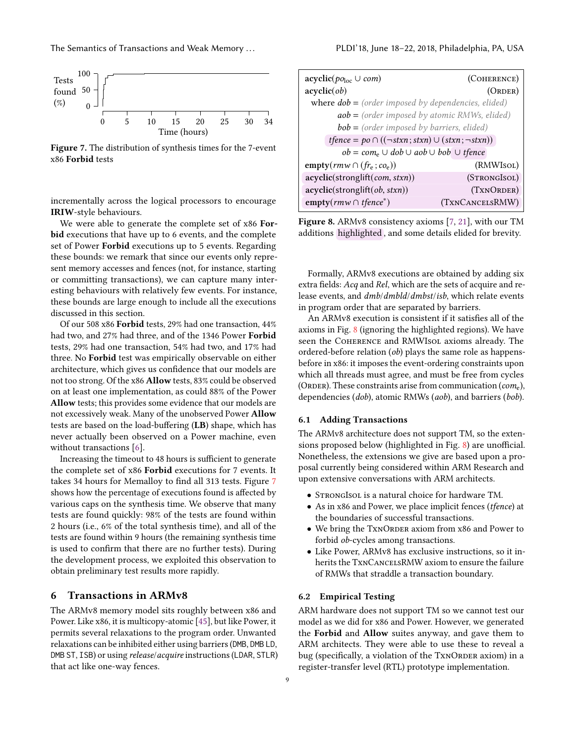The Semantics of Transactions and Weak Memory . . . PLDI'18, June 18–22, 2018, Philadelphia, PA, USA

<span id="page-8-2"></span>

Figure 7. The distribution of synthesis times for the 7-event x86 Forbid tests

incrementally across the logical processors to encourage IRIW-style behaviours.

We were able to generate the complete set of x86 Forbid executions that have up to 6 events, and the complete set of Power Forbid executions up to 5 events. Regarding these bounds: we remark that since our events only represent memory accesses and fences (not, for instance, starting or committing transactions), we can capture many interesting behaviours with relatively few events. For instance, these bounds are large enough to include all the executions discussed in this section.

Of our 508 x86 Forbid tests, 29% had one transaction, 44% had two, and 27% had three, and of the 1346 Power Forbid tests, 29% had one transaction, 54% had two, and 17% had three. No Forbid test was empirically observable on either architecture, which gives us confidence that our models are not too strong. Of the x86 Allow tests, 83% could be observed on at least one implementation, as could 88% of the Power Allow tests; this provides some evidence that our models are not excessively weak. Many of the unobserved Power Allow tests are based on the load-buffering (LB) shape, which has never actually been observed on a Power machine, even without transactions [\[6\]](#page-13-12).

Increasing the timeout to 48 hours is sufficient to generate the complete set of x86 Forbid executions for 7 events. It takes 34 hours for Memalloy to find all 313 tests. Figure [7](#page-8-2) shows how the percentage of executions found is affected by various caps on the synthesis time. We observe that many tests are found quickly: 98% of the tests are found within 2 hours (i.e., 6% of the total synthesis time), and all of the tests are found within 9 hours (the remaining synthesis time is used to confirm that there are no further tests). During the development process, we exploited this observation to obtain preliminary test results more rapidly.

# <span id="page-8-1"></span>6 Transactions in ARMv8

The ARMv8 memory model sits roughly between x86 and Power. Like x86, it is multicopy-atomic [\[45\]](#page-14-4), but like Power, it permits several relaxations to the program order. Unwanted relaxations can be inhibited either using barriers (DMB, DMB LD, DMB ST, ISB) or using release/acquire instructions (LDAR, STLR) that act like one-way fences.

<span id="page-8-3"></span>

| $\operatorname{acyclic}(p_{\mathcal{O}_{loc}} \cup com)$                                               | (COHERENCE)     |  |  |  |
|--------------------------------------------------------------------------------------------------------|-----------------|--|--|--|
| acyclic(obj)                                                                                           | (ORDER)         |  |  |  |
| where $dob = (order imposed by dependencies, elided)$                                                  |                 |  |  |  |
| $aob = (order imposed by atomic RMWs, elided)$                                                         |                 |  |  |  |
| $bob = (order imposed by barriers, elided)$                                                            |                 |  |  |  |
| $t \text{fence} = p \circ \cap ((\neg \text{stxn}; \text{stxn}) \cup (\text{stxn}; \neg \text{stxn}))$ |                 |  |  |  |
| $ob = com_e \cup dob \cup aob \cup bob \cup t \neq cce$                                                |                 |  |  |  |
| empty( $\mathit{rmw} \cap (f_{r_e}; c_{o_e})$ )                                                        | (RMWIsoL)       |  |  |  |
| acyclic(stronglift(com, stxn))                                                                         | (STRONGISOL)    |  |  |  |
| acyclic(strong lift(obj, stxn))                                                                        | (TXNORDER)      |  |  |  |
| $empty(rmw \cap tfence^*)$                                                                             | (TXNCANCELSRMW) |  |  |  |

Figure 8. ARMv8 consistency axioms [\[7,](#page-13-4) [21\]](#page-13-13), with our TM additions highlighted , and some details elided for brevity.

Formally, ARMv8 executions are obtained by adding six extra fields: Acq and Rel, which are the sets of acquire and release events, and dmb/dmbld/dmbst/isb, which relate events in program order that are separated by barriers.

An ARMv8 execution is consistent if it satisfies all of the axioms in Fig. [8](#page-8-3) (ignoring the highlighted regions). We have seen the COHERENCE and RMWIsOL axioms already. The ordered-before relation (ob) plays the same role as happensbefore in x86: it imposes the event-ordering constraints upon which all threads must agree, and must be free from cycles (ORDER). These constraints arise from communication ( $com_e$ ), dependencies (dob), atomic RMWs (aob), and barriers (bob).

#### 6.1 Adding Transactions

The ARMv8 architecture does not support TM, so the extensions proposed below (highlighted in Fig. [8\)](#page-8-3) are unofficial. Nonetheless, the extensions we give are based upon a proposal currently being considered within ARM Research and upon extensive conversations with ARM architects.

- StrongIsol is a natural choice for hardware TM.
- As in x86 and Power, we place implicit fences (tfence) at the boundaries of successful transactions.
- We bring the TXNORDER axiom from x86 and Power to forbid ob-cycles among transactions.
- Like Power, ARMv8 has exclusive instructions, so it inherits the TxnCancelsRMW axiom to ensure the failure of RMWs that straddle a transaction boundary.

#### <span id="page-8-0"></span>6.2 Empirical Testing

ARM hardware does not support TM so we cannot test our model as we did for x86 and Power. However, we generated the Forbid and Allow suites anyway, and gave them to ARM architects. They were able to use these to reveal a bug (specifically, a violation of the TXNORDER axiom) in a register-transfer level (RTL) prototype implementation.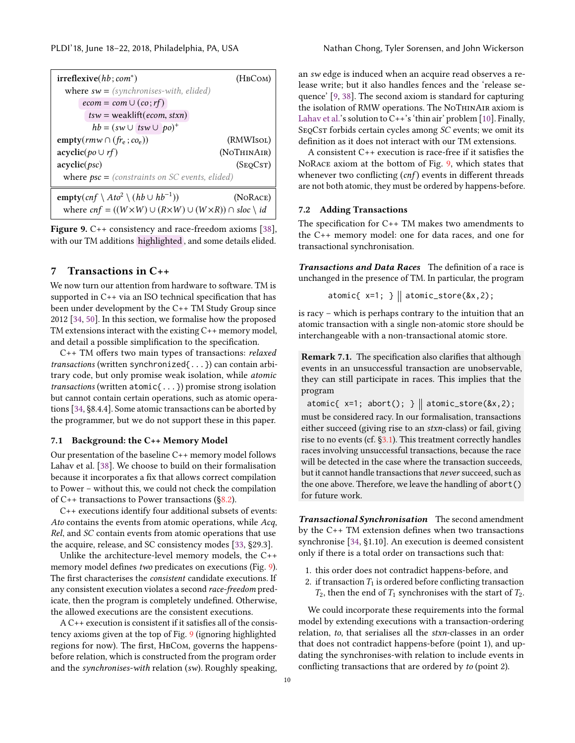<span id="page-9-2"></span>

| $irreflexive(hb; com^*)$<br>(HBCOM)                                                     |             |  |
|-----------------------------------------------------------------------------------------|-------------|--|
| where $sw = (synchronous. \nwith, elided)$                                              |             |  |
| $ecom = com \cup (co; rf)$                                                              |             |  |
| $tsw = weaklift(ecom, stxn)$                                                            |             |  |
| $hb = (sw \cup \text{txw} \cup \text{po})^+$                                            |             |  |
| empty( $\mathit{rmw} \cap (f_{\mathit{Te}}; co_e)$ )                                    | (RMWIsol)   |  |
| $\operatorname{acyclic}(po \cup rf)$                                                    | (NOTHINAIR) |  |
| acyclic(psc)                                                                            | (SEOCST)    |  |
| <b>where <math>psc =</math></b> (constraints on SC events, elided)                      |             |  |
| empty $(cnf \setminus Ato^2 \setminus (hb \cup hb^{-1}))$<br>(NORACE)                   |             |  |
| where $cnf = ((W \times W) \cup (R \times W) \cup (W \times R)) \cap slot \setminus id$ |             |  |

Figure 9. C++ consistency and race-freedom axioms [\[38\]](#page-14-21), with our TM additions highlighted , and some details elided.

# <span id="page-9-1"></span>7 Transactions in C++

We now turn our attention from hardware to software. TM is supported in C++ via an ISO technical specification that has been under development by the C++ TM Study Group since 2012 [\[34,](#page-14-9) [50\]](#page-14-22). In this section, we formalise how the proposed TM extensions interact with the existing C++ memory model, and detail a possible simplification to the specification.

C++ TM offers two main types of transactions: relaxed transactions (written synchronized{...}) can contain arbitrary code, but only promise weak isolation, while atomic transactions (written atomic{...}) promise strong isolation but cannot contain certain operations, such as atomic operations [\[34,](#page-14-9) §8.4.4]. Some atomic transactions can be aborted by the programmer, but we do not support these in this paper.

#### 7.1 Background: the C++ Memory Model

Our presentation of the baseline C++ memory model follows Lahav et al. [\[38\]](#page-14-21). We choose to build on their formalisation because it incorporates a fix that allows correct compilation to Power – without this, we could not check the compilation of  $C_{++}$  transactions to Power transactions ([§8.2\)](#page-11-1).

C++ executions identify four additional subsets of events: Ato contains the events from atomic operations, while Acq, Rel, and SC contain events from atomic operations that use the acquire, release, and SC consistency modes [\[33,](#page-14-23) §29.3].

Unlike the architecture-level memory models, the C++ memory model defines two predicates on executions (Fig. [9\)](#page-9-2). The first characterises the consistent candidate executions. If any consistent execution violates a second race-freedom predicate, then the program is completely undefined. Otherwise, the allowed executions are the consistent executions.

A C++ execution is consistent if it satisfies all of the consistency axioms given at the top of Fig. [9](#page-9-2) (ignoring highlighted regions for now). The first, HBCom, governs the happensbefore relation, which is constructed from the program order and the synchronises-with relation (sw). Roughly speaking,

an sw edge is induced when an acquire read observes a release write; but it also handles fences and the 'release sequence' [\[9,](#page-13-14) [38\]](#page-14-21). The second axiom is standard for capturing the isolation of RMW operations. The NoThinAir axiom is [Lahav et al.'](#page-14-21)s solution to  $C++$ 's 'thin air' problem [\[10\]](#page-13-15). Finally, SEQCST forbids certain cycles among SC events; we omit its definition as it does not interact with our TM extensions.

A consistent C++ execution is race-free if it satisfies the NoRace axiom at the bottom of Fig. [9,](#page-9-2) which states that whenever two conflicting  $(cnf)$  events in different threads are not both atomic, they must be ordered by happens-before.

#### <span id="page-9-0"></span>7.2 Adding Transactions

The specification for C++ TM makes two amendments to the C++ memory model: one for data races, and one for transactional synchronisation.

Transactions and Data Races The definition of a race is unchanged in the presence of TM. In particular, the program

```
atomic{ x=1; } | atomic_store(&x,2);
```
is racy – which is perhaps contrary to the intuition that an atomic transaction with a single non-atomic store should be interchangeable with a non-transactional atomic store.

Remark 7.1. The specification also clarifies that although events in an unsuccessful transaction are unobservable, they can still participate in races. This implies that the program

 $atomic{x=1; abort(); }\n$  atomic\_store(&x,2); must be considered racy. In our formalisation, transactions either succeed (giving rise to an stxn-class) or fail, giving rise to no events (cf. [§3.1\)](#page-3-2). This treatment correctly handles races involving unsuccessful transactions, because the race will be detected in the case where the transaction succeeds, but it cannot handle transactions that never succeed, such as the one above. Therefore, we leave the handling of abort() for future work.

Transactional Synchronisation The second amendment by the C++ TM extension defines when two transactions synchronise [\[34,](#page-14-9) §1.10]. An execution is deemed consistent only if there is a total order on transactions such that:

- 1. this order does not contradict happens-before, and
- 2. if transaction  $T_1$  is ordered before conflicting transaction
	- $T_2$ , then the end of  $T_1$  synchronises with the start of  $T_2$ .

We could incorporate these requirements into the formal model by extending executions with a transaction-ordering relation, to, that serialises all the stxn-classes in an order that does not contradict happens-before (point 1), and updating the synchronises-with relation to include events in conflicting transactions that are ordered by to (point 2).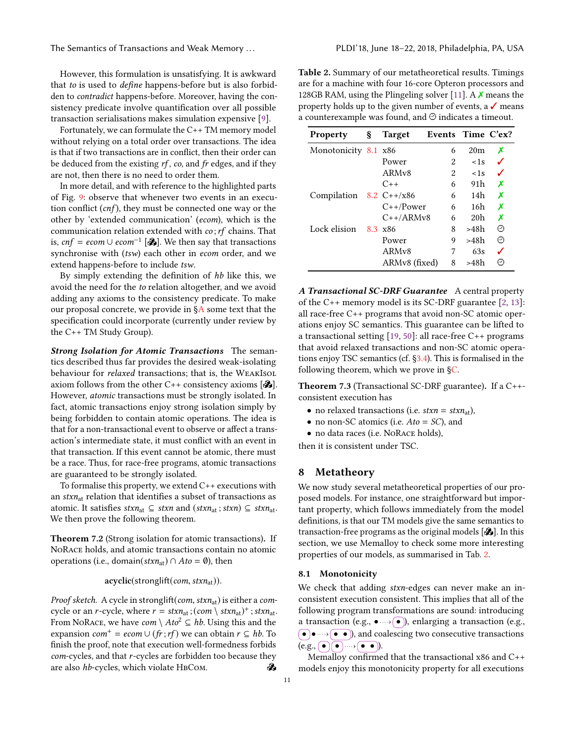The Semantics of Transactions and Weak Memory ... . . . . . . . . . . . . . . PLDI'18, June 18–22, 2018, Philadelphia, PA, USA

However, this formulation is unsatisfying. It is awkward that to is used to define happens-before but is also forbidden to contradict happens-before. Moreover, having the consistency predicate involve quantification over all possible transaction serialisations makes simulation expensive [\[9\]](#page-13-14).

Fortunately, we can formulate the C++ TM memory model without relying on a total order over transactions. The idea is that if two transactions are in conflict, then their order can be deduced from the existing  $rf$ , co, and  $fr$  edges, and if they are not, then there is no need to order them.

In more detail, and with reference to the highlighted parts of Fig. [9:](#page-9-2) observe that whenever two events in an execution conflict  $(cnf)$ , they must be connected one way or the other by 'extended communication' (ecom), which is the communication relation extended with  $co$ ;  $rf$  chains. That is, cnf = ecom∪ ecom<sup>-1</sup> [ $\mathcal{S}$ ]. We then say that transactions synchronise with (tsw) each other in ecom order, and we extend happens-before to include tsw.

By simply extending the definition of hb like this, we avoid the need for the to relation altogether, and we avoid adding any axioms to the consistency predicate. To make our proposal concrete, we provide in [§A](#page-14-24) some text that the specification could incorporate (currently under review by the C++ TM Study Group).

Strong Isolation for Atomic Transactions The semantics described thus far provides the desired weak-isolating behaviour for *relaxed* transactions; that is, the WEAKISOL axiom follows from the other  $C++$  consistency axioms  $[\&]$ . However, atomic transactions must be strongly isolated. In fact, atomic transactions enjoy strong isolation simply by being forbidden to contain atomic operations. The idea is that for a non-transactional event to observe or affect a transaction's intermediate state, it must conflict with an event in that transaction. If this event cannot be atomic, there must be a race. Thus, for race-free programs, atomic transactions are guaranteed to be strongly isolated.

To formalise this property, we extend C++ executions with an  $stxn_{at}$  relation that identifies a subset of transactions as atomic. It satisfies  $stxn_{at}$  ⊆  $stxn$  and  $(stxn_{at}$ ;  $stxn)$  ⊆  $stxn_{at}$ . We then prove the following theorem.

Theorem 7.2 (Strong isolation for atomic transactions). If NoRace holds, and atomic transactions contain no atomic operations (i.e., domain( $stxn_{at}$ ) ∩  $Ato = \emptyset$ ), then

#### $acyclic(strong lift(com, stxn<sub>at</sub>)).$

Proof sketch. A cycle in stronglift(com, stxn<sub>at</sub>) is either a comcycle or an r-cycle, where  $r = strn_{\text{at}}$ ;  $(\text{com} \setminus strn_{\text{at}})^+$ ;  $strn_{\text{at}}$ .<br>From NoRACE, we have  $\text{com} \setminus \text{At}^2 \subset \text{bh}$ . Using this and the From NoRace, we have  $com \setminus Ato^2 \subseteq hb$ . Using this and the expansion  $com^+ = ecom \cup (fr; rf)$  we can obtain  $r \subseteq hb$ . To finish the proof, note that execution well-formedness forbids *com*-cycles, and that *r*-cycles are forbidden too because they are also *hb*-cycles, which violate HBCom. are also hb-cycles, which violate HBCom.

<span id="page-10-2"></span>Table 2. Summary of our metatheoretical results. Timings are for a machine with four 16-core Opteron processors and 128GB RAM, using the Plingeling solver [\[11\]](#page-13-16). A  $\chi$  means the property holds up to the given number of events, a  $\checkmark$  means a counterexample was found, and  $\Theta$  indicates a timeout.

| <b>Property</b>           | ş | <b>Target</b>      | Events Time C'ex? |                 |   |
|---------------------------|---|--------------------|-------------------|-----------------|---|
| Monotonicity 8.1 x86      |   |                    | 6                 | 20 <sub>m</sub> | х |
|                           |   | Power              | 2                 | $<$ 1s          |   |
|                           |   | ARM <sub>v</sub> 8 | 2                 | $<$ 1s          |   |
|                           |   | $C++$              | 6                 | 91h             | X |
| Compilation 8.2 $C++/x86$ |   |                    | 6                 | 14h             | Х |
|                           |   | $C++/Power$        | 6                 | 16h             | Х |
|                           |   | $C++/ARMv8$        | 6                 | 20 <sub>h</sub> | Х |
| Lock elision              |   | 8.3 x86            | 8                 | >48h            | ⊝ |
|                           |   | Power              | 9                 | >48h            | ⊝ |
|                           |   | ARMv8              | 7                 | 63s             |   |
|                           |   | ARMv8 (fixed)      | 8                 | >48h            | ⊝ |

A Transactional SC-DRF Guarantee A central property of the C++ memory model is its SC-DRF guarantee [\[2,](#page-13-17) [13\]](#page-13-18): all race-free C++ programs that avoid non-SC atomic operations enjoy SC semantics. This guarantee can be lifted to a transactional setting [\[19,](#page-13-9) [50\]](#page-14-22): all race-free C++ programs that avoid relaxed transactions and non-SC atomic operations enjoy TSC semantics (cf. [§3.4\)](#page-4-2). This is formalised in the following theorem, which we prove in [§C.](#page-15-0)

<span id="page-10-3"></span>Theorem 7.3 (Transactional SC-DRF guarantee). If a C++ consistent execution has

- no relaxed transactions (i.e.  $stxn = stxn_{at}$ ),
- no non-SC atomics (i.e.  $A$ to = SC), and
- no data races (i.e. NoRace holds),

then it is consistent under TSC.

## <span id="page-10-1"></span>8 Metatheory

We now study several metatheoretical properties of our proposed models. For instance, one straightforward but important property, which follows immediately from the model definitions, is that our TM models give the same semantics to transaction-free programs as the original models  $[$ . In this section, we use Memalloy to check some more interesting properties of our models, as summarised in Tab. [2.](#page-10-2)

#### <span id="page-10-0"></span>8.1 Monotonicity

We check that adding stxn-edges can never make an inconsistent execution consistent. This implies that all of the following program transformations are sound: introducing a transaction (e.g.,  $\bullet \rightarrow \circ$ ), enlarging a transaction (e.g.,  $\left(\bullet\right)\bullet\rightarrow\left(\bullet\right)\bullet$ , and coalescing two consecutive transactions  $(e.g., \fbox{\o}(\bullet) \rightarrow \fbox{\bullet} \rightarrow \bullet).$ 

Memalloy confirmed that the transactional x86 and C++ models enjoy this monotonicity property for all executions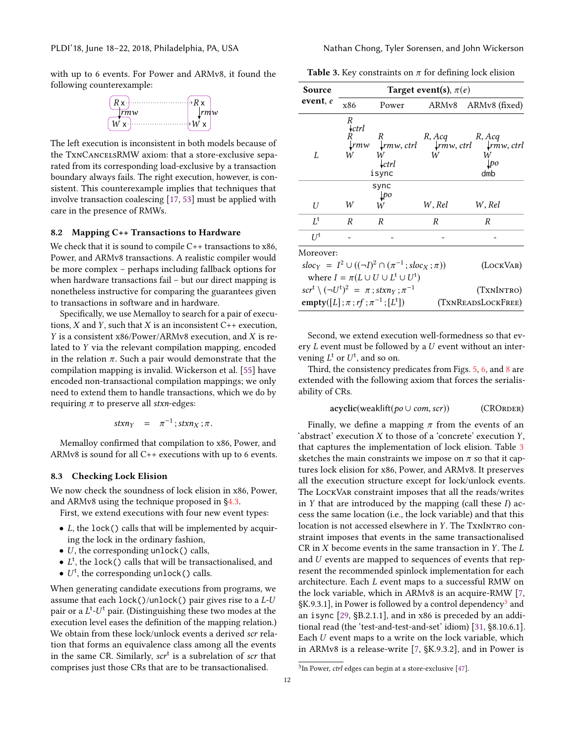with up to 6 events. For Power and ARMv8, it found the following counterexample:



The left execution is inconsistent in both models because of the TxnCancelsRMW axiom: that a store-exclusive separated from its corresponding load-exclusive by a transaction boundary always fails. The right execution, however, is consistent. This counterexample implies that techniques that involve transaction coalescing [\[17,](#page-13-19) [53\]](#page-14-25) must be applied with care in the presence of RMWs.

#### <span id="page-11-1"></span>8.2 Mapping C++ Transactions to Hardware

We check that it is sound to compile C++ transactions to x86, Power, and ARMv8 transactions. A realistic compiler would be more complex – perhaps including fallback options for when hardware transactions fail – but our direct mapping is nonetheless instructive for comparing the guarantees given to transactions in software and in hardware.

Specifically, we use Memalloy to search for a pair of executions,  $X$  and  $Y$ , such that  $X$  is an inconsistent  $C++$  execution, Y is a consistent x86/Power/ARMv8 execution, and X is related to Y via the relevant compilation mapping, encoded in the relation  $\pi$ . Such a pair would demonstrate that the compilation mapping is invalid. Wickerson et al. [\[55\]](#page-14-6) have encoded non-transactional compilation mappings; we only need to extend them to handle transactions, which we do by requiring  $\pi$  to preserve all stxn-edges:

$$
stxn_Y = \pi^{-1}; stxn_X; \pi.
$$

Memalloy confirmed that compilation to x86, Power, and ARMv8 is sound for all C++ executions with up to 6 events.

#### <span id="page-11-0"></span>8.3 Checking Lock Elision

We now check the soundness of lock elision in x86, Power, and ARMv8 using the technique proposed in [§4.3.](#page-5-2)

First, we extend executions with four new event types:

- L, the lock() calls that will be implemented by acquiring the lock in the ordinary fashion,
- $\bullet$  U, the corresponding unlock() calls,
- $L^t$ , the lock() calls that will be transactionalised, and
- $\bullet$  *U<sup>t</sup>*, the corresponding unlock() calls.

When generating candidate executions from programs, we assume that each lock()/unlock() pair gives rise to a L-U pair or a  $L^t$ - $U^t$  pair. (Distinguishing these two modes at the execution level eases the definition of the manning relation) execution level eases the definition of the mapping relation.) We obtain from these lock/unlock events a derived scr relation that forms an equivalence class among all the events in the same CR. Similarly,  $scr<sup>t</sup>$  is a subrelation of scr that comprises just those CRs that are to be transactionalised.

<span id="page-11-2"></span>Table 3. Key constraints on  $\pi$  for defining lock elision

| Source                                                    | Target event(s), $\pi(e)$ |                                                                          |        |                                                         |  |  |
|-----------------------------------------------------------|---------------------------|--------------------------------------------------------------------------|--------|---------------------------------------------------------|--|--|
| event, e                                                  | x86                       | Power                                                                    | ARMv8  | ARMv8 (fixed)                                           |  |  |
|                                                           | R<br>$\star$ ctrl         |                                                                          |        |                                                         |  |  |
|                                                           | R                         | R<br>$\downarrow$ rmw $\downarrow$ rmw, ctrl                             | R, Acq | R, Acq<br>$\downarrow$ rmw, ctrl $\downarrow$ rmw, ctrl |  |  |
| L                                                         | W                         | W                                                                        | W      | W                                                       |  |  |
|                                                           |                           | $\mathcal{L}$ ctrl                                                       |        | lpo                                                     |  |  |
|                                                           |                           | isync                                                                    |        | dmb                                                     |  |  |
|                                                           |                           | sync                                                                     |        |                                                         |  |  |
|                                                           |                           | $\downarrow p$ o                                                         |        |                                                         |  |  |
| U                                                         | W                         | W                                                                        | W.Rel  | W, Rel                                                  |  |  |
| $L^{\rm t}$                                               | R                         | R                                                                        | R      | R                                                       |  |  |
| $II^{\dagger}$                                            |                           |                                                                          |        |                                                         |  |  |
| Moreover:                                                 |                           |                                                                          |        |                                                         |  |  |
|                                                           |                           | $sloc_Y = I^2 \cup ((\neg I)^2 \cap (\pi^{-1}; sloc_X; \pi))$            |        | (LOCKVAR)                                               |  |  |
|                                                           |                           | where $I = \pi(L \cup U \cup L^{\dagger} \cup U^{\dagger})$              |        |                                                         |  |  |
|                                                           |                           |                                                                          |        |                                                         |  |  |
|                                                           |                           | $scr^{\dagger} \setminus (\neg U^{\dagger})^2 = \pi$ ; stxny; $\pi^{-1}$ |        | (TXNINTRO)                                              |  |  |
| empty([L]; $\pi$ ; $rf$ ; $\pi^{-1}$ ; [L <sup>t</sup> ]) |                           |                                                                          |        | (TXNREADSLOCKFREE)                                      |  |  |

Second, we extend execution well-formedness so that every L event must be followed by a U event without an intervening  $L^t$  or  $U^t$ , and so on.<br>Third, the consistency pr

Third, the consistency predicates from Figs. [5,](#page-5-1) [6,](#page-6-1) and [8](#page-8-3) are extended with the following axiom that forces the serialisability of CRs.

$$
acyclic(weak lift (po \cup com, scr)) \qquad (CRORDER)
$$

Finally, we define a mapping  $\pi$  from the events of an 'abstract' execution X to those of a 'concrete' execution Y, that captures the implementation of lock elision. Table [3](#page-11-2) sketches the main constraints we impose on  $\pi$  so that it captures lock elision for x86, Power, and ARMv8. It preserves all the execution structure except for lock/unlock events. The LockVar constraint imposes that all the reads/writes in  $Y$  that are introduced by the mapping (call these  $I$ ) access the same location (i.e., the lock variable) and that this location is not accessed elsewhere in Y. The TxNINTRO constraint imposes that events in the same transactionalised CR in  $X$  become events in the same transaction in  $Y$ . The  $L$ and U events are mapped to sequences of events that represent the recommended spinlock implementation for each architecture. Each L event maps to a successful RMW on the lock variable, which in ARMv8 is an acquire-RMW [\[7,](#page-13-4)  $K.9.3.1$  $K.9.3.1$  $K.9.3.1$ ], in Power is followed by a control dependency<sup>3</sup> and an isync [\[29,](#page-14-8) §B.2.1.1], and in x86 is preceded by an additional read (the 'test-and-test-and-set' idiom) [\[31,](#page-14-2) §8.10.6.1]. Each U event maps to a write on the lock variable, which in ARMv8 is a release-write [\[7,](#page-13-4) §K.9.3.2], and in Power is

<span id="page-11-3"></span> $3$ In Power, *ctrl* edges can begin at a store-exclusive  $[47]$ .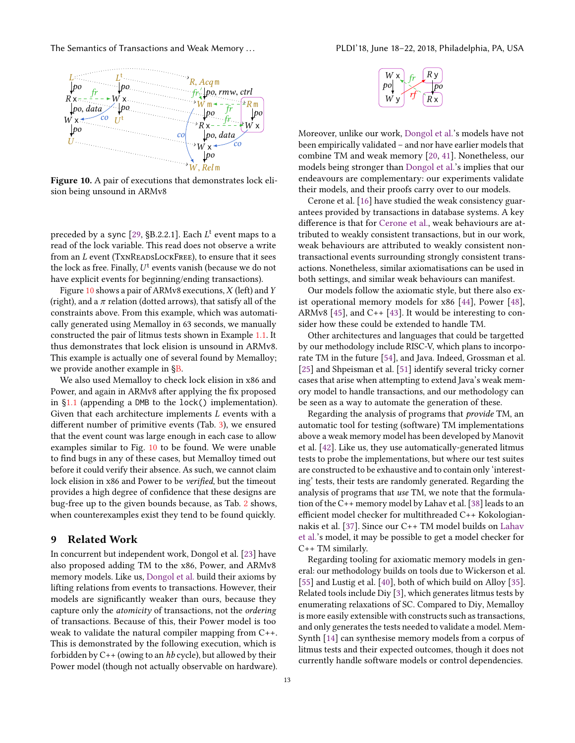<span id="page-12-0"></span>

Figure 10. A pair of executions that demonstrates lock elision being unsound in ARMv8

preceded by a sync  $[29, §B.2.2.1]$  $[29, §B.2.2.1]$ . Each  $L^t$  event maps to a vertex of the lock variable. This read does not observe a write read of the lock variable. This read does not observe a write from an  $L$  event (TXNREADSLOCKFREE), to ensure that it sees the lock as free. Finally,  $U^t$  events vanish (because we do not have explicit events for beginning/ending transactions) have explicit events for beginning/ending transactions).

Figure [10](#page-12-0) shows a pair of ARMv8 executions,  $X$  (left) and  $Y$ (right), and a  $\pi$  relation (dotted arrows), that satisfy all of the constraints above. From this example, which was automatically generated using Memalloy in 63 seconds, we manually constructed the pair of litmus tests shown in Example [1.1.](#page-0-0) It thus demonstrates that lock elision is unsound in ARMv8. This example is actually one of several found by Memalloy; we provide another example in [§B.](#page-15-1)

We also used Memalloy to check lock elision in x86 and Power, and again in ARMv8 after applying the fix proposed in [§1.1](#page-0-1) (appending a DMB to the lock() implementation). Given that each architecture implements L events with a different number of primitive events (Tab. [3\)](#page-11-2), we ensured that the event count was large enough in each case to allow examples similar to Fig. [10](#page-12-0) to be found. We were unable to find bugs in any of these cases, but Memalloy timed out before it could verify their absence. As such, we cannot claim lock elision in x86 and Power to be verified, but the timeout provides a high degree of confidence that these designs are bug-free up to the given bounds because, as Tab. [2](#page-10-2) shows, when counterexamples exist they tend to be found quickly.

#### 9 Related Work

In concurrent but independent work, Dongol et al. [\[23\]](#page-13-20) have also proposed adding TM to the x86, Power, and ARMv8 memory models. Like us, [Dongol et al.](#page-13-20) build their axioms by lifting relations from events to transactions. However, their models are significantly weaker than ours, because they capture only the atomicity of transactions, not the ordering of transactions. Because of this, their Power model is too weak to validate the natural compiler mapping from C++. This is demonstrated by the following execution, which is forbidden by  $C_{++}$  (owing to an hb cycle), but allowed by their Power model (though not actually observable on hardware).



Moreover, unlike our work, [Dongol et al.'](#page-13-20)s models have not been empirically validated – and nor have earlier models that combine TM and weak memory [\[20,](#page-13-21) [41\]](#page-14-26). Nonetheless, our models being stronger than [Dongol et al.'](#page-13-20)s implies that our endeavours are complementary: our experiments validate their models, and their proofs carry over to our models.

Cerone et al. [\[16\]](#page-13-22) have studied the weak consistency guarantees provided by transactions in database systems. A key difference is that for [Cerone et al.,](#page-13-22) weak behaviours are attributed to weakly consistent transactions, but in our work, weak behaviours are attributed to weakly consistent nontransactional events surrounding strongly consistent transactions. Nonetheless, similar axiomatisations can be used in both settings, and similar weak behaviours can manifest.

Our models follow the axiomatic style, but there also exist operational memory models for x86 [\[44\]](#page-14-18), Power [\[48\]](#page-14-20), ARMv8 [\[45\]](#page-14-4), and  $C_{++}$  [\[43\]](#page-14-27). It would be interesting to consider how these could be extended to handle TM.

Other architectures and languages that could be targetted by our methodology include RISC-V, which plans to incorporate TM in the future [\[54\]](#page-14-28), and Java. Indeed, Grossman et al. [\[25\]](#page-13-23) and Shpeisman et al. [\[51\]](#page-14-29) identify several tricky corner cases that arise when attempting to extend Java's weak memory model to handle transactions, and our methodology can be seen as a way to automate the generation of these.

Regarding the analysis of programs that *provide* TM, an automatic tool for testing (software) TM implementations above a weak memory model has been developed by Manovit et al. [\[42\]](#page-14-30). Like us, they use automatically-generated litmus tests to probe the implementations, but where our test suites are constructed to be exhaustive and to contain only 'interesting' tests, their tests are randomly generated. Regarding the analysis of programs that use TM, we note that the formulation of the C++ memory model by Lahav et al. [\[38\]](#page-14-21) leads to an efficient model checker for multithreaded C++ Kokologiannakis et al. [\[37\]](#page-14-31). Since our C++ TM model builds on [Lahav](#page-14-21) [et al.'](#page-14-21)s model, it may be possible to get a model checker for C++ TM similarly.

Regarding tooling for axiomatic memory models in general: our methodology builds on tools due to Wickerson et al. [\[55\]](#page-14-6) and Lustig et al. [\[40\]](#page-14-5), both of which build on Alloy [\[35\]](#page-14-15). Related tools include Diy [\[3\]](#page-13-7), which generates litmus tests by enumerating relaxations of SC. Compared to Diy, Memalloy is more easily extensible with constructs such as transactions, and only generates the tests needed to validate a model. Mem-Synth [\[14\]](#page-13-24) can synthesise memory models from a corpus of litmus tests and their expected outcomes, though it does not currently handle software models or control dependencies.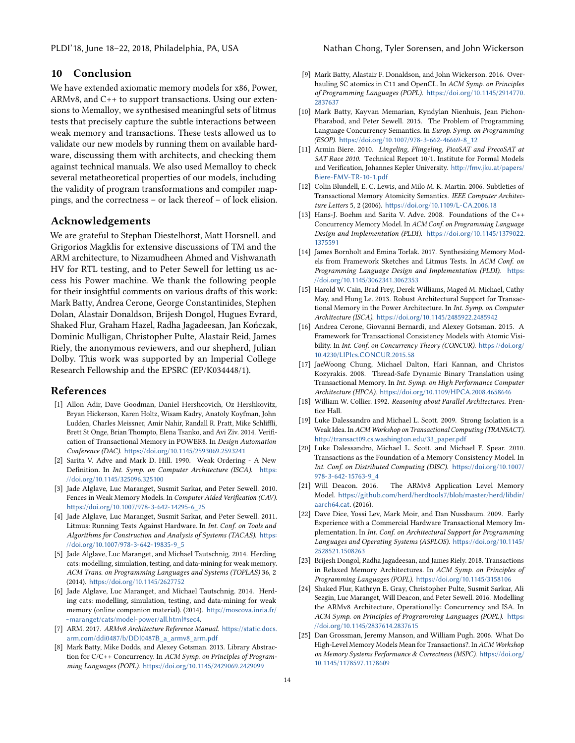# 10 Conclusion

We have extended axiomatic memory models for x86, Power, ARMv8, and C++ to support transactions. Using our extensions to Memalloy, we synthesised meaningful sets of litmus tests that precisely capture the subtle interactions between weak memory and transactions. These tests allowed us to validate our new models by running them on available hardware, discussing them with architects, and checking them against technical manuals. We also used Memalloy to check several metatheoretical properties of our models, including the validity of program transformations and compiler mappings, and the correctness – or lack thereof – of lock elision.

# Acknowledgements

We are grateful to Stephan Diestelhorst, Matt Horsnell, and Grigorios Magklis for extensive discussions of TM and the ARM architecture, to Nizamudheen Ahmed and Vishwanath HV for RTL testing, and to Peter Sewell for letting us access his Power machine. We thank the following people for their insightful comments on various drafts of this work: Mark Batty, Andrea Cerone, George Constantinides, Stephen Dolan, Alastair Donaldson, Brijesh Dongol, Hugues Evrard, Shaked Flur, Graham Hazel, Radha Jagadeesan, Jan Kończak, Dominic Mulligan, Christopher Pulte, Alastair Reid, James Riely, the anonymous reviewers, and our shepherd, Julian Dolby. This work was supported by an Imperial College Research Fellowship and the EPSRC (EP/K034448/1).

## References

- <span id="page-13-5"></span>[1] Allon Adir, Dave Goodman, Daniel Hershcovich, Oz Hershkovitz, Bryan Hickerson, Karen Holtz, Wisam Kadry, Anatoly Koyfman, John Ludden, Charles Meissner, Amir Nahir, Randall R. Pratt, Mike Schliffli, Brett St Onge, Brian Thompto, Elena Tsanko, and Avi Ziv. 2014. Verification of Transactional Memory in POWER8. In Design Automation Conference (DAC). <https://doi.org/10.1145/2593069.2593241>
- <span id="page-13-17"></span>[2] Sarita V. Adve and Mark D. Hill. 1990. Weak Ordering - A New Definition. In Int. Symp. on Computer Architecture (ISCA). [https:](https://doi.org/10.1145/325096.325100) [//doi.org/10.1145/325096.325100](https://doi.org/10.1145/325096.325100)
- <span id="page-13-7"></span>[3] Jade Alglave, Luc Maranget, Susmit Sarkar, and Peter Sewell. 2010. Fences in Weak Memory Models. In Computer Aided Verification (CAV). [https://doi.org/10.1007/978-3-642-14295-6\\_25](https://doi.org/10.1007/978-3-642-14295-6_25)
- <span id="page-13-3"></span>[4] Jade Alglave, Luc Maranget, Susmit Sarkar, and Peter Sewell. 2011. Litmus: Running Tests Against Hardware. In Int. Conf. on Tools and Algorithms for Construction and Analysis of Systems (TACAS). [https:](https://doi.org/10.1007/978-3-642-19835-9_5) [//doi.org/10.1007/978-3-642-19835-9\\_5](https://doi.org/10.1007/978-3-642-19835-9_5)
- <span id="page-13-1"></span>[5] Jade Alglave, Luc Maranget, and Michael Tautschnig. 2014. Herding cats: modelling, simulation, testing, and data-mining for weak memory. ACM Trans. on Programming Languages and Systems (TOPLAS) 36, 2 (2014). <https://doi.org/10.1145/2627752>
- <span id="page-13-12"></span>[6] Jade Alglave, Luc Maranget, and Michael Tautschnig. 2014. Herding cats: modelling, simulation, testing, and data-mining for weak memory (online companion material). (2014). [http://moscova.inria.fr/](http://moscova.inria.fr/~maranget/cats/model-power/all.html#sec4) [~maranget/cats/model-power/all.html#sec4](http://moscova.inria.fr/~maranget/cats/model-power/all.html#sec4).
- <span id="page-13-4"></span>[7] ARM. 2017. ARMv8 Architecture Reference Manual. [https://static.docs.](https://static.docs.arm.com/ddi0487/b/DDI0487B_a_armv8_arm.pdf) [arm.com/ddi0487/b/DDI0487B\\_a\\_armv8\\_arm.pdf](https://static.docs.arm.com/ddi0487/b/DDI0487B_a_armv8_arm.pdf)
- <span id="page-13-10"></span>[8] Mark Batty, Mike Dodds, and Alexey Gotsman. 2013. Library Abstraction for C/C++ Concurrency. In ACM Symp. on Principles of Programming Languages (POPL). <https://doi.org/10.1145/2429069.2429099>
- <span id="page-13-14"></span>[9] Mark Batty, Alastair F. Donaldson, and John Wickerson. 2016. Overhauling SC atomics in C11 and OpenCL. In ACM Symp. on Principles of Programming Languages (POPL). [https://doi.org/10.1145/2914770.](https://doi.org/10.1145/2914770.2837637) [2837637](https://doi.org/10.1145/2914770.2837637)
- <span id="page-13-15"></span>[10] Mark Batty, Kayvan Memarian, Kyndylan Nienhuis, Jean Pichon-Pharabod, and Peter Sewell. 2015. The Problem of Programming Language Concurrency Semantics. In Europ. Symp. on Programming (ESOP). [https://doi.org/10.1007/978-3-662-46669-8\\_12](https://doi.org/10.1007/978-3-662-46669-8_12)
- <span id="page-13-16"></span>[11] Armin Biere. 2010. Lingeling, Plingeling, PicoSAT and PrecoSAT at SAT Race 2010. Technical Report 10/1. Institute for Formal Models and Verification, Johannes Kepler University. [http://fmv.jku.at/papers/](http://fmv.jku.at/papers/Biere-FMV-TR-10-1.pdf) [Biere-FMV-TR-10-1.pdf](http://fmv.jku.at/papers/Biere-FMV-TR-10-1.pdf)
- <span id="page-13-8"></span>[12] Colin Blundell, E. C. Lewis, and Milo M. K. Martin. 2006. Subtleties of Transactional Memory Atomicity Semantics. IEEE Computer Architecture Letters 5, 2 (2006). <https://doi.org/10.1109/L-CA.2006.18>
- <span id="page-13-18"></span>[13] Hans-J. Boehm and Sarita V. Adve. 2008. Foundations of the C++ Concurrency Memory Model. In ACM Conf. on Programming Language Design and Implementation (PLDI). [https://doi.org/10.1145/1379022.](https://doi.org/10.1145/1379022.1375591) [1375591](https://doi.org/10.1145/1379022.1375591)
- <span id="page-13-24"></span>[14] James Bornholt and Emina Torlak. 2017. Synthesizing Memory Models from Framework Sketches and Litmus Tests. In ACM Conf. on Programming Language Design and Implementation (PLDI). [https:](https://doi.org/10.1145/3062341.3062353) [//doi.org/10.1145/3062341.3062353](https://doi.org/10.1145/3062341.3062353)
- <span id="page-13-11"></span>[15] Harold W. Cain, Brad Frey, Derek Williams, Maged M. Michael, Cathy May, and Hung Le. 2013. Robust Architectural Support for Transactional Memory in the Power Architecture. In Int. Symp. on Computer Architecture (ISCA). <https://doi.org/10.1145/2485922.2485942>
- <span id="page-13-22"></span>[16] Andrea Cerone, Giovanni Bernardi, and Alexey Gotsman. 2015. A Framework for Transactional Consistency Models with Atomic Visibility. In Int. Conf. on Concurrency Theory (CONCUR). [https://doi.org/](https://doi.org/10.4230/LIPIcs.CONCUR.2015.58) [10.4230/LIPIcs.CONCUR.2015.58](https://doi.org/10.4230/LIPIcs.CONCUR.2015.58)
- <span id="page-13-19"></span>[17] JaeWoong Chung, Michael Dalton, Hari Kannan, and Christos Kozyrakis. 2008. Thread-Safe Dynamic Binary Translation using Transactional Memory. In Int. Symp. on High Performance Computer Architecture (HPCA). <https://doi.org/10.1109/HPCA.2008.4658646>
- <span id="page-13-6"></span>[18] William W. Collier. 1992. Reasoning about Parallel Architectures. Prentice Hall.
- <span id="page-13-9"></span>[19] Luke Dalessandro and Michael L. Scott. 2009. Strong Isolation is a Weak Idea. In ACM Workshop on Transactional Computing (TRANSACT). [http://transact09.cs.washington.edu/33\\_paper.pdf](http://transact09.cs.washington.edu/33_paper.pdf)
- <span id="page-13-21"></span>[20] Luke Dalessandro, Michael L. Scott, and Michael F. Spear. 2010. Transactions as the Foundation of a Memory Consistency Model. In Int. Conf. on Distributed Computing (DISC). [https://doi.org/10.1007/](https://doi.org/10.1007/978-3-642-15763-9_4) [978-3-642-15763-9\\_4](https://doi.org/10.1007/978-3-642-15763-9_4)
- <span id="page-13-13"></span>[21] Will Deacon. 2016. The ARMv8 Application Level Memory Model. [https://github.com/herd/herdtools7/blob/master/herd/libdir/](https://github.com/herd/herdtools7/blob/master/herd/libdir/aarch64.cat) [aarch64.cat](https://github.com/herd/herdtools7/blob/master/herd/libdir/aarch64.cat). (2016).
- <span id="page-13-0"></span>[22] Dave Dice, Yossi Lev, Mark Moir, and Dan Nussbaum. 2009. Early Experience with a Commercial Hardware Transactional Memory Implementation. In Int. Conf. on Architectural Support for Programming Languages and Operating Systems (ASPLOS). [https://doi.org/10.1145/](https://doi.org/10.1145/2528521.1508263) [2528521.1508263](https://doi.org/10.1145/2528521.1508263)
- <span id="page-13-20"></span>[23] Brijesh Dongol, Radha Jagadeesan, and James Riely. 2018. Transactions in Relaxed Memory Architectures. In ACM Symp. on Principles of Programming Languages (POPL). <https://doi.org/10.1145/3158106>
- <span id="page-13-2"></span>[24] Shaked Flur, Kathryn E. Gray, Christopher Pulte, Susmit Sarkar, Ali Sezgin, Luc Maranget, Will Deacon, and Peter Sewell. 2016. Modelling the ARMv8 Architecture, Operationally: Concurrency and ISA. In ACM Symp. on Principles of Programming Languages (POPL). [https:](https://doi.org/10.1145/2837614.2837615) [//doi.org/10.1145/2837614.2837615](https://doi.org/10.1145/2837614.2837615)
- <span id="page-13-23"></span>[25] Dan Grossman, Jeremy Manson, and William Pugh. 2006. What Do High-Level Memory Models Mean for Transactions?. In ACM Workshop on Memory Systems Performance & Correctness (MSPC). [https://doi.org/](https://doi.org/10.1145/1178597.1178609) [10.1145/1178597.1178609](https://doi.org/10.1145/1178597.1178609)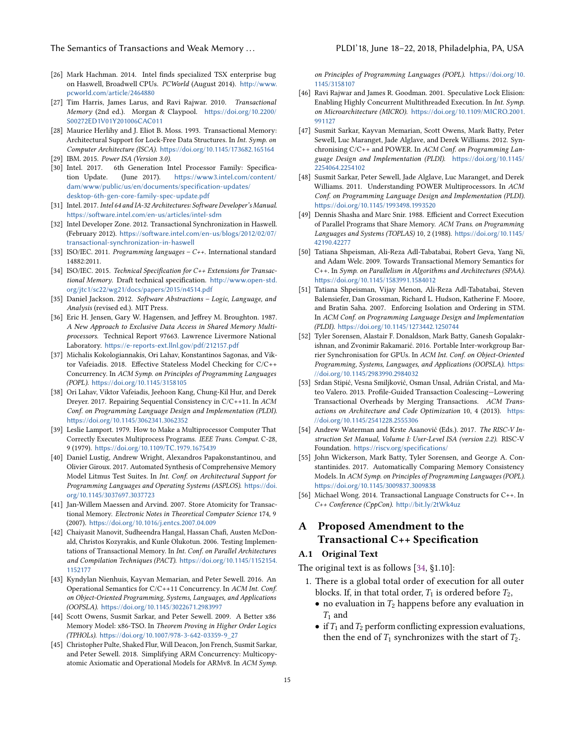- <span id="page-14-10"></span>[26] Mark Hachman. 2014. Intel finds specialized TSX enterprise bug on Haswell, Broadwell CPUs. PCWorld (August 2014). [http://www.](http://www.pcworld.com/article/2464880) [pcworld.com/article/2464880](http://www.pcworld.com/article/2464880)
- <span id="page-14-13"></span>[27] Tim Harris, James Larus, and Ravi Rajwar. 2010. Transactional Memory (2nd ed.). Morgan & Claypool. [https://doi.org/10.2200/](https://doi.org/10.2200/S00272ED1V01Y201006CAC011) [S00272ED1V01Y201006CAC011](https://doi.org/10.2200/S00272ED1V01Y201006CAC011)
- <span id="page-14-0"></span>[28] Maurice Herlihy and J. Eliot B. Moss. 1993. Transactional Memory: Architectural Support for Lock-Free Data Structures. In Int. Symp. on Computer Architecture (ISCA). <https://doi.org/10.1145/173682.165164>
- <span id="page-14-8"></span>[29] IBM. 2015. Power ISA (Version 3.0).
- <span id="page-14-11"></span>[30] Intel. 2017. 6th Generation Intel Processor Family: Specification Update. (June 2017). [https://www3.intel.com/content/](https://www3.intel.com/content/dam/www/public/us/en/documents/specification-updates/desktop-6th-gen-core-family-spec-update.pdf) [dam/www/public/us/en/documents/specification-updates/](https://www3.intel.com/content/dam/www/public/us/en/documents/specification-updates/desktop-6th-gen-core-family-spec-update.pdf) [desktop-6th-gen-core-family-spec-update.pdf](https://www3.intel.com/content/dam/www/public/us/en/documents/specification-updates/desktop-6th-gen-core-family-spec-update.pdf)
- <span id="page-14-2"></span>[31] Intel. 2017. Intel 64 and IA-32 Architectures: Software Developer's Manual. <https://software.intel.com/en-us/articles/intel-sdm>
- <span id="page-14-17"></span>[32] Intel Developer Zone. 2012. Transactional Synchronization in Haswell. (February 2012). [https://software.intel.com/en-us/blogs/2012/02/07/](https://software.intel.com/en-us/blogs/2012/02/07/transactional-synchronization-in-haswell) [transactional-synchronization-in-haswell](https://software.intel.com/en-us/blogs/2012/02/07/transactional-synchronization-in-haswell)
- <span id="page-14-23"></span>[33] ISO/IEC. 2011. Programming languages – C++. International standard 14882:2011.
- <span id="page-14-9"></span>[34] ISO/IEC. 2015. Technical Specification for C++ Extensions for Transactional Memory. Draft technical specification. [http://www.open-std.](http://www.open-std.org/jtc1/sc22/wg21/docs/papers/2015/n4514.pdf) [org/jtc1/sc22/wg21/docs/papers/2015/n4514.pdf](http://www.open-std.org/jtc1/sc22/wg21/docs/papers/2015/n4514.pdf)
- <span id="page-14-15"></span>[35] Daniel Jackson. 2012. Software Abstractions – Logic, Language, and Analysis (revised ed.). MIT Press.
- <span id="page-14-7"></span>[36] Eric H. Jensen, Gary W. Hagensen, and Jeffrey M. Broughton. 1987. A New Approach to Exclusive Data Access in Shared Memory Multiprocessors. Technical Report 97663. Lawrence Livermore National Laboratory. <https://e-reports-ext.llnl.gov/pdf/212157.pdf>
- <span id="page-14-31"></span>[37] Michalis Kokologiannakis, Ori Lahav, Konstantinos Sagonas, and Viktor Vafeiadis. 2018. Effective Stateless Model Checking for C/C++ Concurrency. In ACM Symp. on Principles of Programming Languages (POPL). <https://doi.org/10.1145/3158105>
- <span id="page-14-21"></span>[38] Ori Lahav, Viktor Vafeiadis, Jeehoon Kang, Chung-Kil Hur, and Derek Dreyer. 2017. Repairing Sequential Consistency in C/C++11. In ACM Conf. on Programming Language Design and Implementation (PLDI). <https://doi.org/10.1145/3062341.3062352>
- <span id="page-14-3"></span>[39] Leslie Lamport. 1979. How to Make a Multiprocessor Computer That Correctly Executes Multiprocess Programs. IEEE Trans. Comput. C-28, 9 (1979). <https://doi.org/10.1109/TC.1979.1675439>
- <span id="page-14-5"></span>[40] Daniel Lustig, Andrew Wright, Alexandros Papakonstantinou, and Olivier Giroux. 2017. Automated Synthesis of Comprehensive Memory Model Litmus Test Suites. In Int. Conf. on Architectural Support for Programming Languages and Operating Systems (ASPLOS). [https://doi.](https://doi.org/10.1145/3037697.3037723) [org/10.1145/3037697.3037723](https://doi.org/10.1145/3037697.3037723)
- <span id="page-14-26"></span>[41] Jan-Willem Maessen and Arvind. 2007. Store Atomicity for Transactional Memory. Electronic Notes in Theoretical Computer Science 174, 9 (2007). <https://doi.org/10.1016/j.entcs.2007.04.009>
- <span id="page-14-30"></span>[42] Chaiyasit Manovit, Sudheendra Hangal, Hassan Chafi, Austen McDonald, Christos Kozyrakis, and Kunle Olukotun. 2006. Testing Implementations of Transactional Memory. In Int. Conf. on Parallel Architectures and Compilation Techniques (PACT). [https://doi.org/10.1145/1152154.](https://doi.org/10.1145/1152154.1152177) [1152177](https://doi.org/10.1145/1152154.1152177)
- <span id="page-14-27"></span>[43] Kyndylan Nienhuis, Kayvan Memarian, and Peter Sewell. 2016. An Operational Semantics for C/C++11 Concurrency. In ACM Int. Conf. on Object-Oriented Programming, Systems, Languages, and Applications (OOPSLA). <https://doi.org/10.1145/3022671.2983997>
- <span id="page-14-18"></span>[44] Scott Owens, Susmit Sarkar, and Peter Sewell. 2009. A Better x86 Memory Model: x86-TSO. In Theorem Proving in Higher Order Logics (TPHOLs). [https://doi.org/10.1007/978-3-642-03359-9\\_27](https://doi.org/10.1007/978-3-642-03359-9_27)
- <span id="page-14-4"></span>[45] Christopher Pulte, Shaked Flur, Will Deacon, Jon French, Susmit Sarkar, and Peter Sewell. 2018. Simplifying ARM Concurrency: Multicopyatomic Axiomatic and Operational Models for ARMv8. In ACM Symp.

on Principles of Programming Languages (POPL). [https://doi.org/10.](https://doi.org/10.1145/3158107) [1145/3158107](https://doi.org/10.1145/3158107)

- <span id="page-14-1"></span>[46] Ravi Rajwar and James R. Goodman. 2001. Speculative Lock Elision: Enabling Highly Concurrent Multithreaded Execution. In Int. Symp. on Microarchitecture (MICRO). [https://doi.org/10.1109/MICRO.2001.](https://doi.org/10.1109/MICRO.2001.991127) [991127](https://doi.org/10.1109/MICRO.2001.991127)
- <span id="page-14-19"></span>[47] Susmit Sarkar, Kayvan Memarian, Scott Owens, Mark Batty, Peter Sewell, Luc Maranget, Jade Alglave, and Derek Williams. 2012. Synchronising C/C++ and POWER. In ACM Conf. on Programming Language Design and Implementation (PLDI). [https://doi.org/10.1145/](https://doi.org/10.1145/2254064.2254102) [2254064.2254102](https://doi.org/10.1145/2254064.2254102)
- <span id="page-14-20"></span>[48] Susmit Sarkar, Peter Sewell, Jade Alglave, Luc Maranget, and Derek Williams. 2011. Understanding POWER Multiprocessors. In ACM Conf. on Programming Language Design and Implementation (PLDI). <https://doi.org/10.1145/1993498.1993520>
- <span id="page-14-14"></span>[49] Dennis Shasha and Marc Snir. 1988. Efficient and Correct Execution of Parallel Programs that Share Memory. ACM Trans. on Programming Languages and Systems (TOPLAS) 10, 2 (1988). [https://doi.org/10.1145/](https://doi.org/10.1145/42190.42277) [42190.42277](https://doi.org/10.1145/42190.42277)
- <span id="page-14-22"></span>[50] Tatiana Shpeisman, Ali-Reza Adl-Tabatabai, Robert Geva, Yang Ni, and Adam Welc. 2009. Towards Transactional Memory Semantics for C++. In Symp. on Parallelism in Algorithms and Architectures (SPAA). <https://doi.org/10.1145/1583991.1584012>
- <span id="page-14-29"></span>[51] Tatiana Shpeisman, Vijay Menon, Ali-Reza Adl-Tabatabai, Steven Balensiefer, Dan Grossman, Richard L. Hudson, Katherine F. Moore, and Bratin Saha. 2007. Enforcing Isolation and Ordering in STM. In ACM Conf. on Programming Language Design and Implementation (PLDI). <https://doi.org/10.1145/1273442.1250744>
- <span id="page-14-16"></span>[52] Tyler Sorensen, Alastair F. Donaldson, Mark Batty, Ganesh Gopalakrishnan, and Zvonimir Rakamarić. 2016. Portable Inter-workgroup Barrier Synchronisation for GPUs. In ACM Int. Conf. on Object-Oriented Programming, Systems, Languages, and Applications (OOPSLA). [https:](https://doi.org/10.1145/2983990.2984032) [//doi.org/10.1145/2983990.2984032](https://doi.org/10.1145/2983990.2984032)
- <span id="page-14-25"></span>[53] Srdan Stipić, Vesna Smiljković, Osman Unsal, Adrián Cristal, and Mateo Valero. 2013. Profile-Guided Transaction Coalescing—Lowering Transactional Overheads by Merging Transactions. ACM Transactions on Architecture and Code Optimization 10, 4 (2013). [https:](https://doi.org/10.1145/2541228.2555306) [//doi.org/10.1145/2541228.2555306](https://doi.org/10.1145/2541228.2555306)
- <span id="page-14-28"></span>[54] Andrew Waterman and Krste Asanović (Eds.). 2017. The RISC-V Instruction Set Manual, Volume I: User-Level ISA (version 2.2). RISC-V Foundation. <https://riscv.org/specifications/>
- <span id="page-14-6"></span>[55] John Wickerson, Mark Batty, Tyler Sorensen, and George A. Constantinides. 2017. Automatically Comparing Memory Consistency Models. In ACM Symp. on Principles of Programming Languages (POPL). <https://doi.org/10.1145/3009837.3009838>
- <span id="page-14-12"></span>[56] Michael Wong. 2014. Transactional Language Constructs for C++. In C++ Conference (CppCon). <http://bit.ly/2tWk4uz>

# <span id="page-14-24"></span>A Proposed Amendment to the Transactional C++ Specification

#### A.1 Original Text

The original text is as follows [\[34,](#page-14-9) §1.10]:

- 1. There is a global total order of execution for all outer blocks. If, in that total order,  $T_1$  is ordered before  $T_2$ ,
	- no evaluation in  $T_2$  happens before any evaluation in  $T_1$  and
	- if  $T_1$  and  $T_2$  perform conflicting expression evaluations, then the end of  $T_1$  synchronizes with the start of  $T_2$ .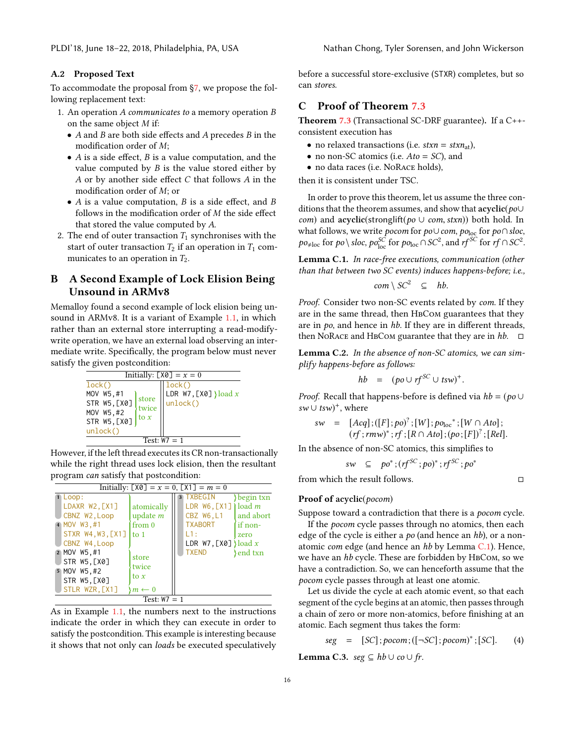#### A.2 Proposed Text

To accommodate the proposal from [§7,](#page-9-1) we propose the following replacement text:

- 1. An operation A communicates to a memory operation B on the same object M if:
	- $\bullet$   $A$  and  $B$  are both side effects and  $A$  precedes  $B$  in the modification order of M;
	- $\bullet$  A is a side effect, B is a value computation, and the value computed by  $B$  is the value stored either by A or by another side effect C that follows A in the modification order of M; or
	- $\bullet$  A is a value computation, B is a side effect, and B follows in the modification order of M the side effect that stored the value computed by A.
- 2. The end of outer transaction  $T_1$  synchronises with the start of outer transaction  $T_2$  if an operation in  $T_1$  communicates to an operation in  $T_2$ .

# <span id="page-15-1"></span>B A Second Example of Lock Elision Being Unsound in ARMv8

Memalloy found a second example of lock elision being unsound in ARMv8. It is a variant of Example [1.1,](#page-0-0) in which rather than an external store interrupting a read-modifywrite operation, we have an external load observing an intermediate write. Specifically, the program below must never satisfy the given postcondition:



However, if the left thread executes its CR non-transactionally while the right thread uses lock elision, then the resultant program can satisfy that postcondition:

| Initially: $[X0] = x = 0$ , $[X1] = m = 0$                                                                                                                                 |                                                                                       |                                                                                                                                                                                    |  |  |  |
|----------------------------------------------------------------------------------------------------------------------------------------------------------------------------|---------------------------------------------------------------------------------------|------------------------------------------------------------------------------------------------------------------------------------------------------------------------------------|--|--|--|
| $\blacksquare$ Loop:<br>LDAXR W2, [X1]<br>CBNZ W2, Loop<br>4 MOV W3,#1<br>STXR W4, W3, [X1]<br>CBNZ W4, Loop<br>2 MOV W5,#1<br>STR W5.[X0]<br>5 MOV W5, #2<br>STR W5, [X0] | atomically<br>update $m$<br>from 0<br>l to 1<br>store<br>twice<br>to $\boldsymbol{x}$ | begin txn<br>3 TXBEGIN<br>LDR $W6$ , [X1] load $m$<br>CBZ W6, L1<br>and abort<br><b>TXABORT</b><br>if non-<br>L1:<br>zero<br>LDR $W7$ , [X0] } load x<br><b>TXEND</b><br>} end txn |  |  |  |
| STLR WZR, [X1]<br>$m \leftarrow 0$<br>Test: $W7 = 1$                                                                                                                       |                                                                                       |                                                                                                                                                                                    |  |  |  |

As in Example [1.1,](#page-0-0) the numbers next to the instructions indicate the order in which they can execute in order to satisfy the postcondition. This example is interesting because it shows that not only can loads be executed speculatively

before a successful store-exclusive (STXR) completes, but so can stores.

# <span id="page-15-0"></span>C Proof of Theorem [7.3](#page-10-3)

<span id="page-15-2"></span>**Theorem [7.3](#page-10-3)** (Transactional SC-DRF guarantee). If a  $C++$ consistent execution has

- no relaxed transactions (i.e.  $stxn = stxn_{at}$ ),
- no non-SC atomics (i.e.  $A$ to = SC), and
- no data races (i.e. NoRace holds),

then it is consistent under TSC.

In order to prove this theorem, let us assume the three conditions that the theorem assumes, and show that  $acyclic(po\cup$ com) and acyclic(stronglift(po  $\cup$  com, stxn)) both hold. In what follows, we write *pocom* for  $p$ o∪com,  $p$ o<sub>loc</sub> for  $p$ o∩sloc,  $p o_{\neq loc}$  for  $p o \setminus s loc$ ,  $p o_{loc}^{SC}$  for  $p o_{loc} \cap SC^2$ , and  $r f^{SC}$  for  $r f \cap SC^2$ .

Lemma C.1. In race-free executions, communication (other than that between two SC events) induces happens-before; i.e.,

$$
com \setminus SC^2 \subseteq hb.
$$

Proof. Consider two non-SC events related by com. If they are in the same thread, then HBCom guarantees that they are in  $po$ , and hence in  $hb$ . If they are in different threads, then NoRACE and HBCom guarantee that they are in  $hb$ .  $\square$ 

<span id="page-15-3"></span>Lemma C.2. In the absence of non-SC atomics, we can simplify happens-before as follows:

$$
hb = (po \cup rf^{SC} \cup tsw)^+.
$$

*Proof.* Recall that happens-before is defined via  $hb = (po \cup$  $sw \cup tsw)^+$ , where

$$
sw = [Acq]; ([F]; po)2; [W]; poloc*; [W \cap Ato];(rf; rmw)*; rf; [R \cap Ato]; (po; [F])2; [Rel].
$$
  
In the absence of non-SC atomics. this simplifies to

$$
sw \ \subseteq \ po^*; (rf^{SC}; po)^*; rf^{SC}; po^*
$$

from which the result follows.  $\Box$ 

#### Proof of acyclic(pocom)

Suppose toward a contradiction that there is a pocom cycle.

If the pocom cycle passes through no atomics, then each edge of the cycle is either a  $po$  (and hence an hb), or a nonatomic *com* edge (and hence an  $hb$  by Lemma  $C.1$ ). Hence, we have an hb cycle. These are forbidden by HBCom, so we have a contradiction. So, we can henceforth assume that the pocom cycle passes through at least one atomic.

Let us divide the cycle at each atomic event, so that each segment of the cycle begins at an atomic, then passes through a chain of zero or more non-atomics, before finishing at an atomic. Each segment thus takes the form:

$$
seg = [SC]; pocom; ([\neg SC]; pocom)^*; [SC]. \qquad (4)
$$

<span id="page-15-4"></span>Lemma C.3. seg ⊆  $hb ∪$  co  $∪$  fr.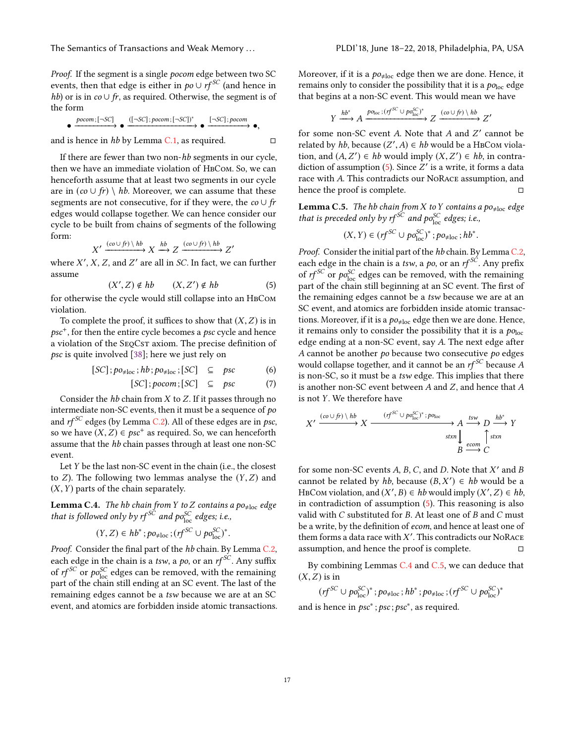The Semantics of Transactions and Weak Memory . . . PLDI'18, June 18–22, 2018, Philadelphia, PA, USA

Proof. If the segment is a single pocom edge between two SC events, then that edge is either in  $po ∪ rf<sup>SC</sup>$  (and hence in hb) or is in  $co \cup fr$ , as required. Otherwise, the segment is of the form

$$
\bullet \xrightarrow{pocom; [-SC]} \bullet \xrightarrow{([-SC]; pocom; [-SC])^*} \bullet \xrightarrow{[-SC]; pocom} \bullet,
$$

and is hence in hb by Lemma [C.1,](#page-15-2) as required.  $□$ 

If there are fewer than two non-hb segments in our cycle, then we have an immediate violation of HBCom. So, we can henceforth assume that at least two segments in our cycle are in  $(co \cup fr) \setminus hb$ . Moreover, we can assume that these segments are not consecutive, for if they were, the  $co \cup fr$ edges would collapse together. We can hence consider our cycle to be built from chains of segments of the following form:

$$
X' \xrightarrow{(co \cup ft) \setminus hb} X \xrightarrow{hb} Z \xrightarrow{(co \cup ft) \setminus hb} Z'
$$

where  $X'$ ,  $X$ ,  $Z$ , and  $Z'$  are all in  $SC$ . In fact, we can further assume assume

<span id="page-16-0"></span>
$$
(X', Z) \notin hb \qquad (X, Z') \notin hb \qquad (5)
$$

 $(X', Z) \notin hb$   $(X, Z') \notin hb$  (5)<br>for otherwise the cycle would still collapse into an HBCOM violation.

To complete the proof, it suffices to show that  $(X, Z)$  is in psc<sup>+</sup>, for then the entire cycle becomes a psc cycle and hence a violation of the SEQCST axiom. The precise definition of psc is quite involved [\[38\]](#page-14-21); here we just rely on

$$
[SC]; po_{\neq loc}; hb; po_{\neq loc}; [SC] \subseteq psc \qquad (6)
$$

$$
[SC]; pocom; [SC] \subseteq psc \qquad (7)
$$

Consider the  $hb$  chain from  $X$  to  $Z$ . If it passes through no intermediate non-SC events, then it must be a sequence of po and  $rf^{SC}$  edges (by Lemma [C.2\)](#page-15-3). All of these edges are in psc, so we have  $(X, Z) \in \text{psc}^+$  as required. So, we can henceforth assume that the *hh* chain passes through at least one pop-SC assume that the hb chain passes through at least one non-SC event.

Let Y be the last non-SC event in the chain (i.e., the closest to  $Z$ ). The following two lemmas analyse the  $(Y, Z)$  and  $(X, Y)$  parts of the chain separately.

<span id="page-16-1"></span>**Lemma C.4.** The hb chain from Y to Z contains a po<sub>‡loc</sub> edge<br>that is followed only by rf <sup>SC</sup> and po<sub>loc</sub> edges; i.e.,

$$
(Y,Z)\in hb^*; po_{\neq loc}; (rf^{SC}\cup po_{loc}^{SC})^*.
$$

*Proof.* Consider the final part of the *hb* chain. By Lemma [C.2,](#page-15-3) each edge in the chain is a tsw, a po, or an  $rf^{SC}$ . Any suffix of  $rf^{SC}$  or  $po_{loc}^{SC}$  edges can be removed, with the remaining part of the chain still ending at an SC event. The last of the remaining edges cannot be a tsw because we are at an SC event, and atomics are forbidden inside atomic transactions. Moreover, if it is a  $po_{\neq loc}$  edge then we are done. Hence, it remains only to consider the possibility that it is a  $po<sub>loc</sub>$  edge that begins at a non-SC event. This would mean we have

$$
Y \xrightarrow{hb^*} A \xrightarrow{p_{0_{\text{loc}}}: (rf^{SC} \cup po_{\text{loc}}^{SC})^*} Z \xrightarrow{(co \cup ft) \setminus hb} Z'
$$

for some non-SC event A. Note that A and Z' cannot be related by hh because  $(Z' | A) \in hh$  would be a HPCOM violar related by *hb*, because  $(Z', A) \in hb$  would be a HBCom violation and  $(A, Z') \in bb$  would imply  $(X, Z') \in bh$  in contration, and  $(A, Z') \in hb$  would imply  $(X, Z') \in hb$ , in contra-<br>diction of assumption (5). Since  $Z'$  is a write it forms a data diction of assumption [\(5\)](#page-16-0). Since  $Z'$  is a write, it forms a data<br>race with A. This contradicts our NoRACE assumption, and race with A. This contradicts our NoRace assumption, and hence the proof is complete. hence the proof is complete.

<span id="page-16-2"></span>**Lemma C.5.** The hb chain from X to Y contains a po<sub>‡loc</sub> edge that is preceded only by rf<sup>SC</sup> and po<sub>loc</sub> edges; i.e.,

$$
(X,Y)\in (rf^{SC}\cup po_{\text{loc}}^{SC})^*;po_{\neq \text{loc}};hb^*
$$

Proof. Consider the initial part of the hb chain. By Lemma [C.2,](#page-15-3) each edge in the chain is a tsw, a po, or an  $rf^{SC}$ . Any prefix of  $rf^{SC}$  or  $po_{loc}^{SC}$  edges can be removed, with the remaining part of the chain still beginning at an SC event. The first of the remaining edges cannot be a tsw because we are at an SC event, and atomics are forbidden inside atomic transactions. Moreover, if it is a  $po_{\neq loc}$  edge then we are done. Hence, it remains only to consider the possibility that it is a  $po<sub>loc</sub>$ edge ending at a non-SC event, say A. The next edge after A cannot be another po because two consecutive po edges would collapse together, and it cannot be an  $\mathit{rf}^\mathit{SC}$  because  $A$ is non-SC, so it must be a tsw edge. This implies that there is another non-SC event between A and Z, and hence that A is not Y. We therefore have

$$
X' \xrightarrow{(co \cup fr) \; \langle \; hb \; X \; \xrightarrow{(rf^{SC} \; \cup \; po_{\text{loc}}^{SC})^* \; ; \; po_{\text{loc}} \;} A \xrightarrow{tsw} D \xrightarrow{hb^*} Y
$$
\n
$$
\xrightarrow{\text{stxn}} B \xrightarrow{\text{estyn}} C
$$

for some non-SC events A, B, C, and D. Note that X' and B cannot be related by hh because  $(B, X') \in hh$  would be a cannot be related by hb, because  $(B, X') \in hb$  would be a<br>HBCOM violation and  $(X', B) \in bb$  would imply  $(X', Z) \in bb$ HBCom violation, and  $(X', B) \in hb$  would imply  $(X', Z) \in hb$ ,<br>in contradiction of assumption (5). This reasoning is also in contradiction of assumption [\(5\)](#page-16-0). This reasoning is also valid with C substituted for B. At least one of B and C must be a write, by the definition of ecom, and hence at least one of them forms a data race with X'. This contradicts our NoRACE<br>assumption, and bence the proof is complete assumption, and hence the proof is complete.  $□$ 

By combining Lemmas [C.4](#page-16-1) and [C.5,](#page-16-2) we can deduce that  $(X, Z)$  is in

 $(r f^{SC} \cup po_{loc}^{SC})^*$ ;  $po_{\neq loc}$ ;  $hb^*$ ;  $po_{\neq loc}$ ;  $(r f^{SC} \cup po_{loc}^{SC})^*$ and is hence in  $psc^*$ ;  $psc$ ;  $psc^*$ , as required.

17